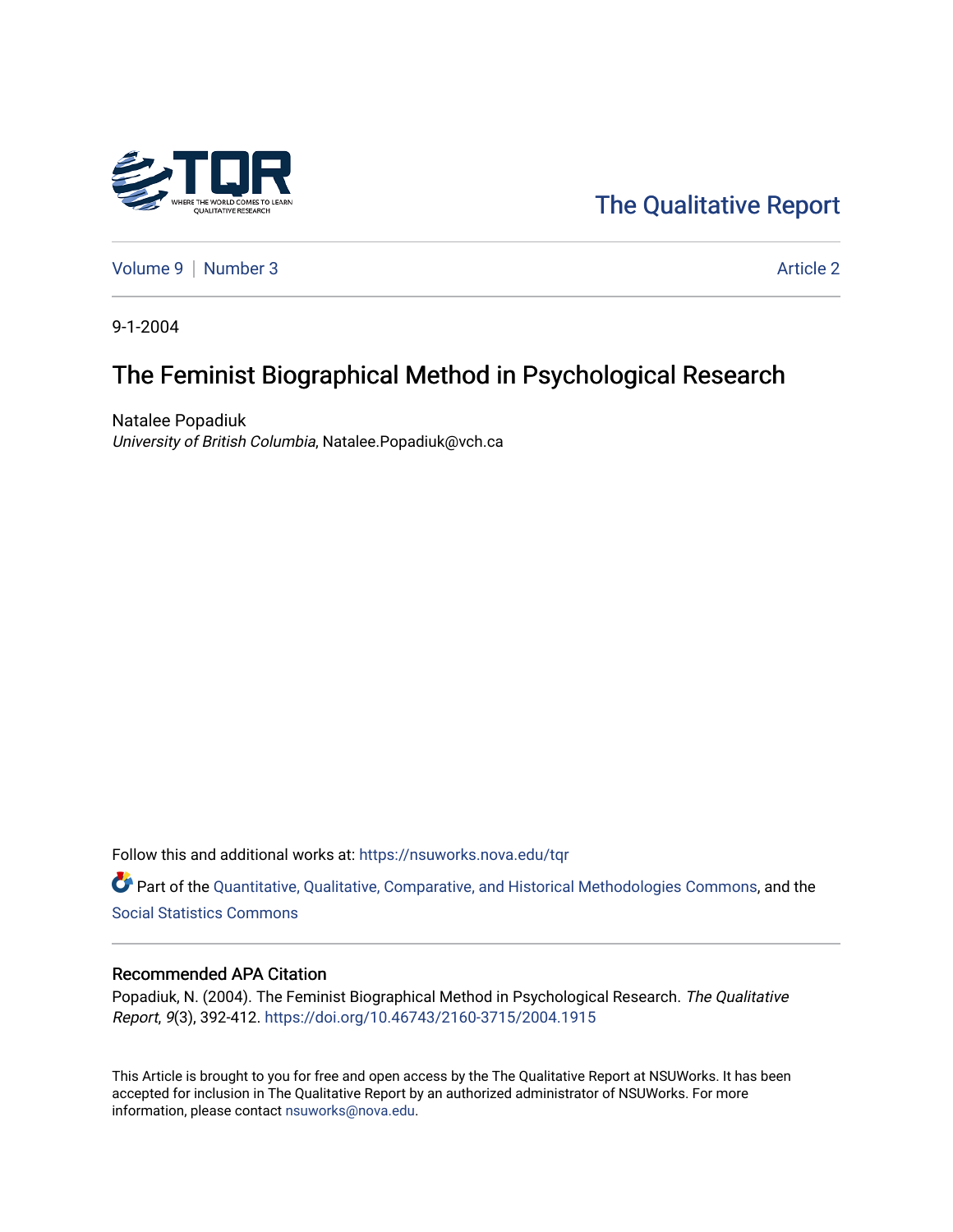

[The Qualitative Report](https://nsuworks.nova.edu/tqr) 

[Volume 9](https://nsuworks.nova.edu/tqr/vol9) | [Number 3](https://nsuworks.nova.edu/tqr/vol9/iss3) Article 2

9-1-2004

# The Feminist Biographical Method in Psychological Research

Natalee Popadiuk University of British Columbia, Natalee.Popadiuk@vch.ca

Follow this and additional works at: [https://nsuworks.nova.edu/tqr](https://nsuworks.nova.edu/tqr?utm_source=nsuworks.nova.edu%2Ftqr%2Fvol9%2Fiss3%2F2&utm_medium=PDF&utm_campaign=PDFCoverPages) 

Part of the [Quantitative, Qualitative, Comparative, and Historical Methodologies Commons,](http://network.bepress.com/hgg/discipline/423?utm_source=nsuworks.nova.edu%2Ftqr%2Fvol9%2Fiss3%2F2&utm_medium=PDF&utm_campaign=PDFCoverPages) and the [Social Statistics Commons](http://network.bepress.com/hgg/discipline/1275?utm_source=nsuworks.nova.edu%2Ftqr%2Fvol9%2Fiss3%2F2&utm_medium=PDF&utm_campaign=PDFCoverPages) 

### Recommended APA Citation

Popadiuk, N. (2004). The Feminist Biographical Method in Psychological Research. The Qualitative Report, 9(3), 392-412.<https://doi.org/10.46743/2160-3715/2004.1915>

This Article is brought to you for free and open access by the The Qualitative Report at NSUWorks. It has been accepted for inclusion in The Qualitative Report by an authorized administrator of NSUWorks. For more information, please contact [nsuworks@nova.edu.](mailto:nsuworks@nova.edu)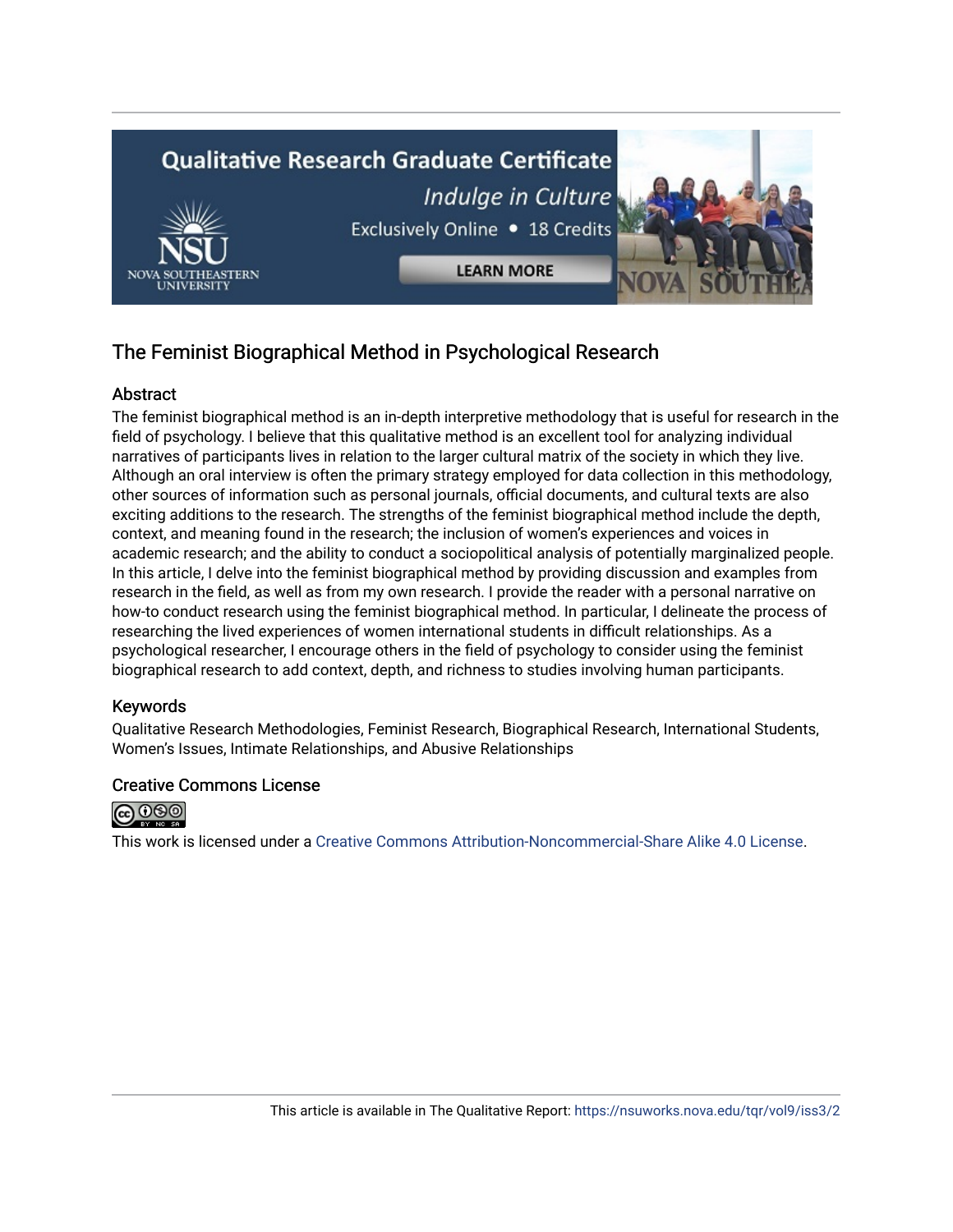

# The Feminist Biographical Method in Psychological Research

## Abstract

The feminist biographical method is an in-depth interpretive methodology that is useful for research in the field of psychology. I believe that this qualitative method is an excellent tool for analyzing individual narratives of participants lives in relation to the larger cultural matrix of the society in which they live. Although an oral interview is often the primary strategy employed for data collection in this methodology, other sources of information such as personal journals, official documents, and cultural texts are also exciting additions to the research. The strengths of the feminist biographical method include the depth, context, and meaning found in the research; the inclusion of women's experiences and voices in academic research; and the ability to conduct a sociopolitical analysis of potentially marginalized people. In this article, I delve into the feminist biographical method by providing discussion and examples from research in the field, as well as from my own research. I provide the reader with a personal narrative on how-to conduct research using the feminist biographical method. In particular, I delineate the process of researching the lived experiences of women international students in difficult relationships. As a psychological researcher, I encourage others in the field of psychology to consider using the feminist biographical research to add context, depth, and richness to studies involving human participants.

## Keywords

Qualitative Research Methodologies, Feminist Research, Biographical Research, International Students, Women's Issues, Intimate Relationships, and Abusive Relationships

## Creative Commons License



This work is licensed under a [Creative Commons Attribution-Noncommercial-Share Alike 4.0 License](https://creativecommons.org/licenses/by-nc-sa/4.0/).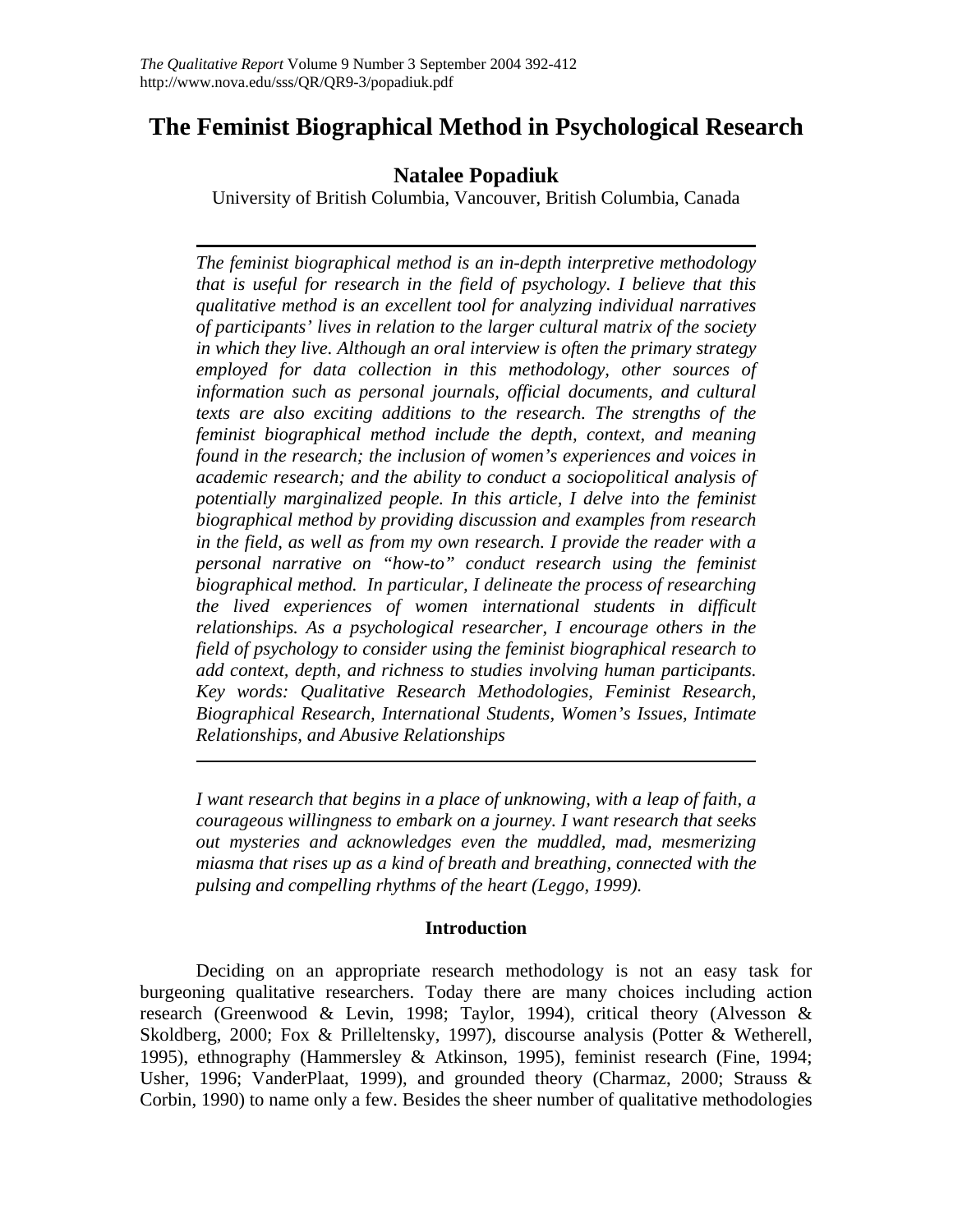# **The Feminist Biographical Method in Psychological Research**

# **Natalee Popadiuk**

University of British Columbia, Vancouver, British Columbia, Canada

*The feminist biographical method is an in-depth interpretive methodology that is useful for research in the field of psychology. I believe that this qualitative method is an excellent tool for analyzing individual narratives of participants' lives in relation to the larger cultural matrix of the society in which they live. Although an oral interview is often the primary strategy employed for data collection in this methodology, other sources of information such as personal journals, official documents, and cultural texts are also exciting additions to the research. The strengths of the feminist biographical method include the depth, context, and meaning found in the research; the inclusion of women's experiences and voices in academic research; and the ability to conduct a sociopolitical analysis of potentially marginalized people. In this article, I delve into the feminist biographical method by providing discussion and examples from research in the field, as well as from my own research. I provide the reader with a personal narrative on "how-to" conduct research using the feminist biographical method. In particular, I delineate the process of researching the lived experiences of women international students in difficult relationships. As a psychological researcher, I encourage others in the field of psychology to consider using the feminist biographical research to add context, depth, and richness to studies involving human participants. Key words: Qualitative Research Methodologies, Feminist Research, Biographical Research, International Students, Women's Issues, Intimate Relationships, and Abusive Relationships* 

*I want research that begins in a place of unknowing, with a leap of faith, a courageous willingness to embark on a journey. I want research that seeks out mysteries and acknowledges even the muddled, mad, mesmerizing miasma that rises up as a kind of breath and breathing, connected with the pulsing and compelling rhythms of the heart (Leggo, 1999).*

## **Introduction**

Deciding on an appropriate research methodology is not an easy task for burgeoning qualitative researchers. Today there are many choices including action research (Greenwood & Levin, 1998; Taylor, 1994), critical theory (Alvesson & Skoldberg, 2000; Fox & Prilleltensky, 1997), discourse analysis (Potter & Wetherell, 1995), ethnography (Hammersley & Atkinson, 1995), feminist research (Fine, 1994; Usher, 1996; VanderPlaat, 1999), and grounded theory (Charmaz, 2000; Strauss & Corbin, 1990) to name only a few. Besides the sheer number of qualitative methodologies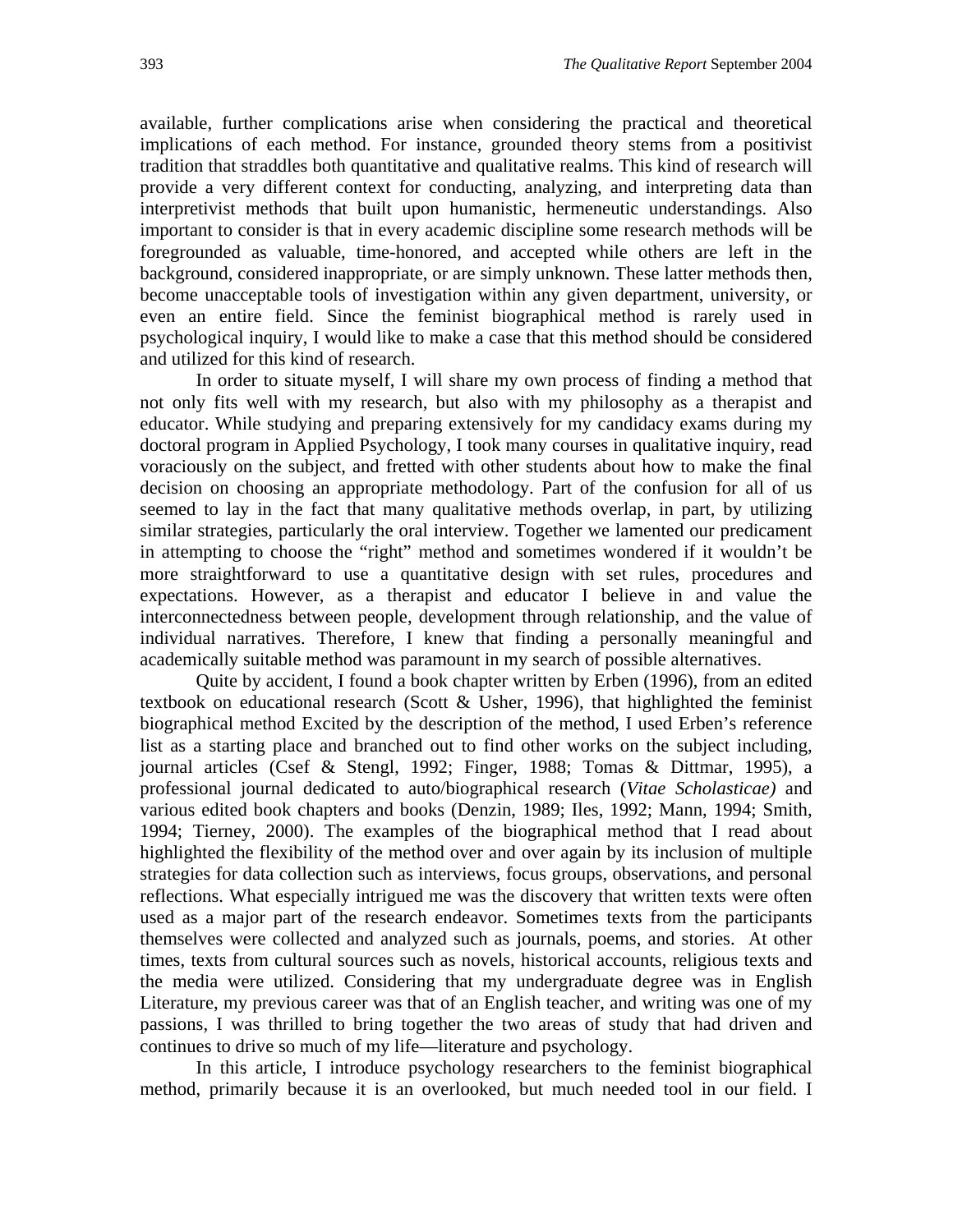available, further complications arise when considering the practical and theoretical implications of each method. For instance, grounded theory stems from a positivist tradition that straddles both quantitative and qualitative realms. This kind of research will provide a very different context for conducting, analyzing, and interpreting data than interpretivist methods that built upon humanistic, hermeneutic understandings. Also important to consider is that in every academic discipline some research methods will be foregrounded as valuable, time-honored, and accepted while others are left in the background, considered inappropriate, or are simply unknown. These latter methods then, become unacceptable tools of investigation within any given department, university, or even an entire field. Since the feminist biographical method is rarely used in psychological inquiry, I would like to make a case that this method should be considered and utilized for this kind of research.

In order to situate myself, I will share my own process of finding a method that not only fits well with my research, but also with my philosophy as a therapist and educator. While studying and preparing extensively for my candidacy exams during my doctoral program in Applied Psychology, I took many courses in qualitative inquiry, read voraciously on the subject, and fretted with other students about how to make the final decision on choosing an appropriate methodology. Part of the confusion for all of us seemed to lay in the fact that many qualitative methods overlap, in part, by utilizing similar strategies, particularly the oral interview. Together we lamented our predicament in attempting to choose the "right" method and sometimes wondered if it wouldn't be more straightforward to use a quantitative design with set rules, procedures and expectations. However, as a therapist and educator I believe in and value the interconnectedness between people, development through relationship, and the value of individual narratives. Therefore, I knew that finding a personally meaningful and academically suitable method was paramount in my search of possible alternatives.

Quite by accident, I found a book chapter written by Erben (1996), from an edited textbook on educational research (Scott  $&$  Usher, 1996), that highlighted the feminist biographical method Excited by the description of the method, I used Erben's reference list as a starting place and branched out to find other works on the subject including, journal articles (Csef & Stengl, 1992; Finger, 1988; Tomas & Dittmar, 1995), a professional journal dedicated to auto/biographical research (*Vitae Scholasticae)* and various edited book chapters and books (Denzin, 1989; Iles, 1992; Mann, 1994; Smith, 1994; Tierney, 2000). The examples of the biographical method that I read about highlighted the flexibility of the method over and over again by its inclusion of multiple strategies for data collection such as interviews, focus groups, observations, and personal reflections. What especially intrigued me was the discovery that written texts were often used as a major part of the research endeavor. Sometimes texts from the participants themselves were collected and analyzed such as journals, poems, and stories. At other times, texts from cultural sources such as novels, historical accounts, religious texts and the media were utilized. Considering that my undergraduate degree was in English Literature, my previous career was that of an English teacher, and writing was one of my passions, I was thrilled to bring together the two areas of study that had driven and continues to drive so much of my life—literature and psychology.

In this article, I introduce psychology researchers to the feminist biographical method, primarily because it is an overlooked, but much needed tool in our field. I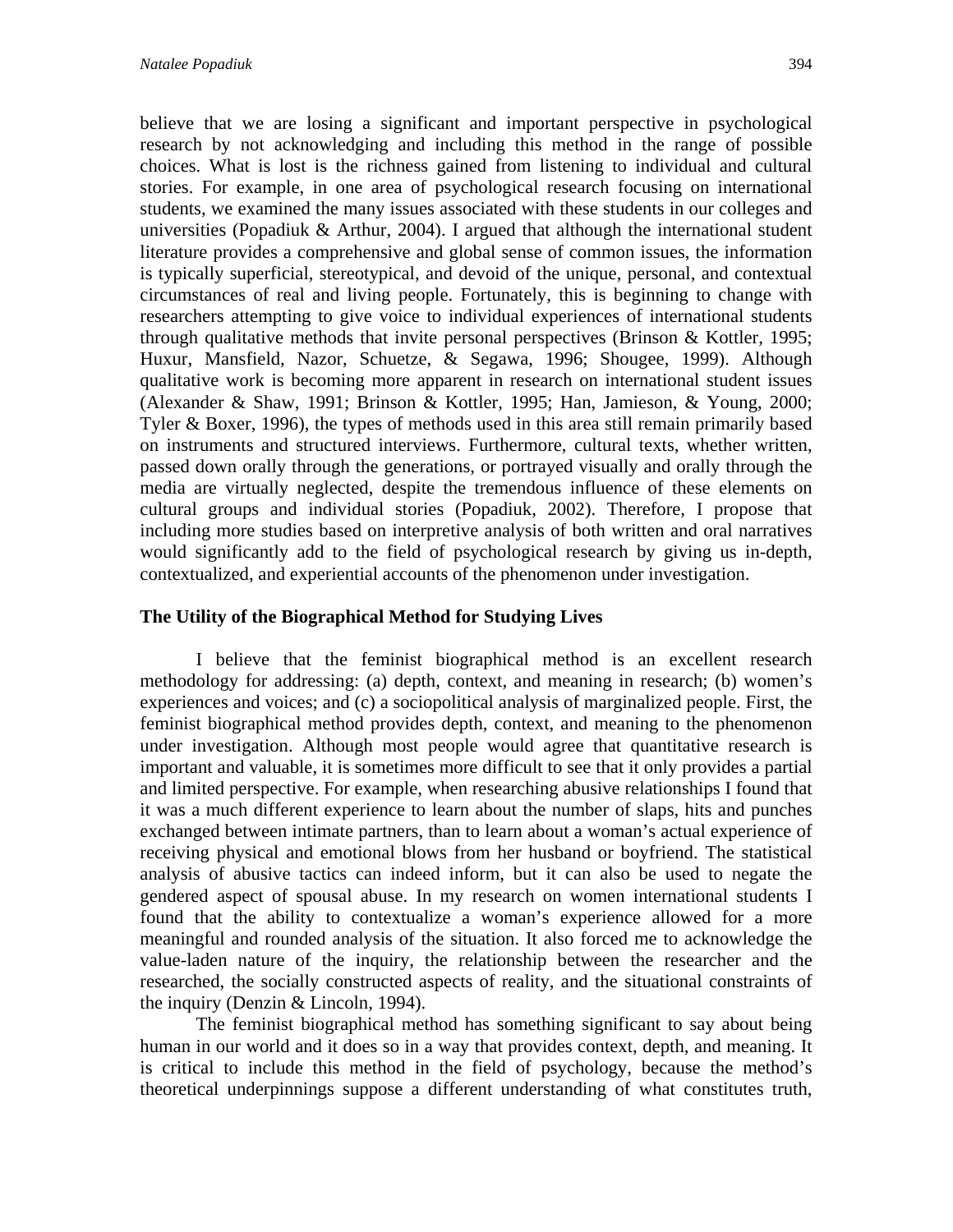believe that we are losing a significant and important perspective in psychological research by not acknowledging and including this method in the range of possible choices. What is lost is the richness gained from listening to individual and cultural stories. For example, in one area of psychological research focusing on international students, we examined the many issues associated with these students in our colleges and universities (Popadiuk & Arthur, 2004). I argued that although the international student literature provides a comprehensive and global sense of common issues, the information is typically superficial, stereotypical, and devoid of the unique, personal, and contextual circumstances of real and living people. Fortunately, this is beginning to change with researchers attempting to give voice to individual experiences of international students through qualitative methods that invite personal perspectives (Brinson  $\&$  Kottler, 1995; Huxur, Mansfield, Nazor, Schuetze, & Segawa, 1996; Shougee, 1999). Although qualitative work is becoming more apparent in research on international student issues (Alexander & Shaw, 1991; Brinson & Kottler, 1995; Han, Jamieson, & Young, 2000; Tyler & Boxer, 1996), the types of methods used in this area still remain primarily based on instruments and structured interviews. Furthermore, cultural texts, whether written, passed down orally through the generations, or portrayed visually and orally through the media are virtually neglected, despite the tremendous influence of these elements on cultural groups and individual stories (Popadiuk, 2002). Therefore, I propose that including more studies based on interpretive analysis of both written and oral narratives would significantly add to the field of psychological research by giving us in-depth, contextualized, and experiential accounts of the phenomenon under investigation.

## **The Utility of the Biographical Method for Studying Lives**

 I believe that the feminist biographical method is an excellent research methodology for addressing: (a) depth, context, and meaning in research; (b) women's experiences and voices; and (c) a sociopolitical analysis of marginalized people. First, the feminist biographical method provides depth, context, and meaning to the phenomenon under investigation. Although most people would agree that quantitative research is important and valuable, it is sometimes more difficult to see that it only provides a partial and limited perspective. For example, when researching abusive relationships I found that it was a much different experience to learn about the number of slaps, hits and punches exchanged between intimate partners, than to learn about a woman's actual experience of receiving physical and emotional blows from her husband or boyfriend. The statistical analysis of abusive tactics can indeed inform, but it can also be used to negate the gendered aspect of spousal abuse. In my research on women international students I found that the ability to contextualize a woman's experience allowed for a more meaningful and rounded analysis of the situation. It also forced me to acknowledge the value-laden nature of the inquiry, the relationship between the researcher and the researched, the socially constructed aspects of reality, and the situational constraints of the inquiry (Denzin & Lincoln, 1994).

 The feminist biographical method has something significant to say about being human in our world and it does so in a way that provides context, depth, and meaning. It is critical to include this method in the field of psychology, because the method's theoretical underpinnings suppose a different understanding of what constitutes truth,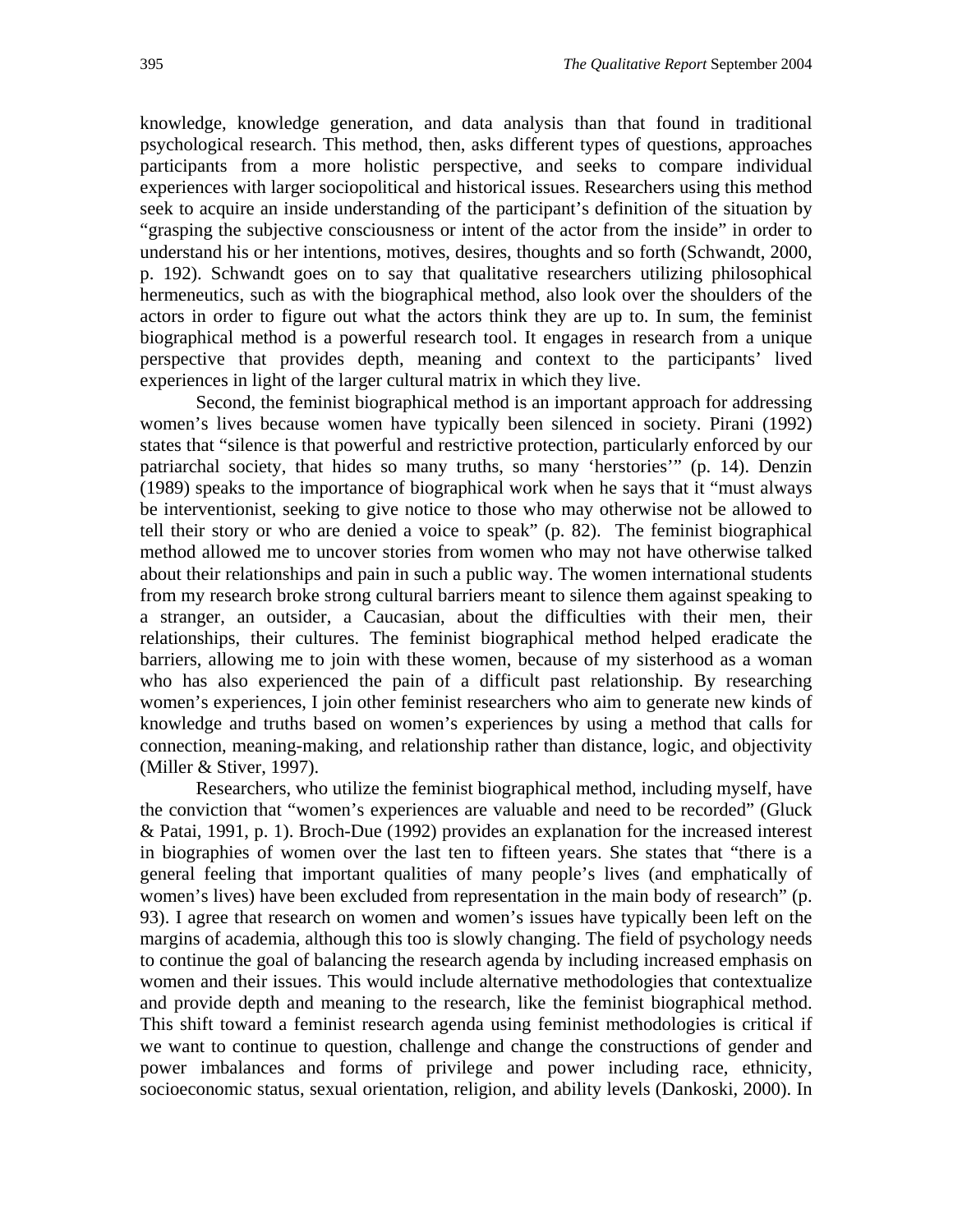knowledge, knowledge generation, and data analysis than that found in traditional psychological research. This method, then, asks different types of questions, approaches participants from a more holistic perspective, and seeks to compare individual experiences with larger sociopolitical and historical issues. Researchers using this method seek to acquire an inside understanding of the participant's definition of the situation by "grasping the subjective consciousness or intent of the actor from the inside" in order to understand his or her intentions, motives, desires, thoughts and so forth (Schwandt, 2000, p. 192). Schwandt goes on to say that qualitative researchers utilizing philosophical hermeneutics, such as with the biographical method, also look over the shoulders of the actors in order to figure out what the actors think they are up to. In sum, the feminist biographical method is a powerful research tool. It engages in research from a unique perspective that provides depth, meaning and context to the participants' lived experiences in light of the larger cultural matrix in which they live.

 Second, the feminist biographical method is an important approach for addressing women's lives because women have typically been silenced in society. Pirani (1992) states that "silence is that powerful and restrictive protection, particularly enforced by our patriarchal society, that hides so many truths, so many 'herstories'" (p. 14). Denzin (1989) speaks to the importance of biographical work when he says that it "must always be interventionist, seeking to give notice to those who may otherwise not be allowed to tell their story or who are denied a voice to speak" (p. 82). The feminist biographical method allowed me to uncover stories from women who may not have otherwise talked about their relationships and pain in such a public way. The women international students from my research broke strong cultural barriers meant to silence them against speaking to a stranger, an outsider, a Caucasian, about the difficulties with their men, their relationships, their cultures. The feminist biographical method helped eradicate the barriers, allowing me to join with these women, because of my sisterhood as a woman who has also experienced the pain of a difficult past relationship. By researching women's experiences, I join other feminist researchers who aim to generate new kinds of knowledge and truths based on women's experiences by using a method that calls for connection, meaning-making, and relationship rather than distance, logic, and objectivity (Miller & Stiver, 1997).

 Researchers, who utilize the feminist biographical method, including myself, have the conviction that "women's experiences are valuable and need to be recorded" (Gluck & Patai, 1991, p. 1). Broch-Due (1992) provides an explanation for the increased interest in biographies of women over the last ten to fifteen years. She states that "there is a general feeling that important qualities of many people's lives (and emphatically of women's lives) have been excluded from representation in the main body of research" (p. 93). I agree that research on women and women's issues have typically been left on the margins of academia, although this too is slowly changing. The field of psychology needs to continue the goal of balancing the research agenda by including increased emphasis on women and their issues. This would include alternative methodologies that contextualize and provide depth and meaning to the research, like the feminist biographical method. This shift toward a feminist research agenda using feminist methodologies is critical if we want to continue to question, challenge and change the constructions of gender and power imbalances and forms of privilege and power including race, ethnicity, socioeconomic status, sexual orientation, religion, and ability levels (Dankoski, 2000). In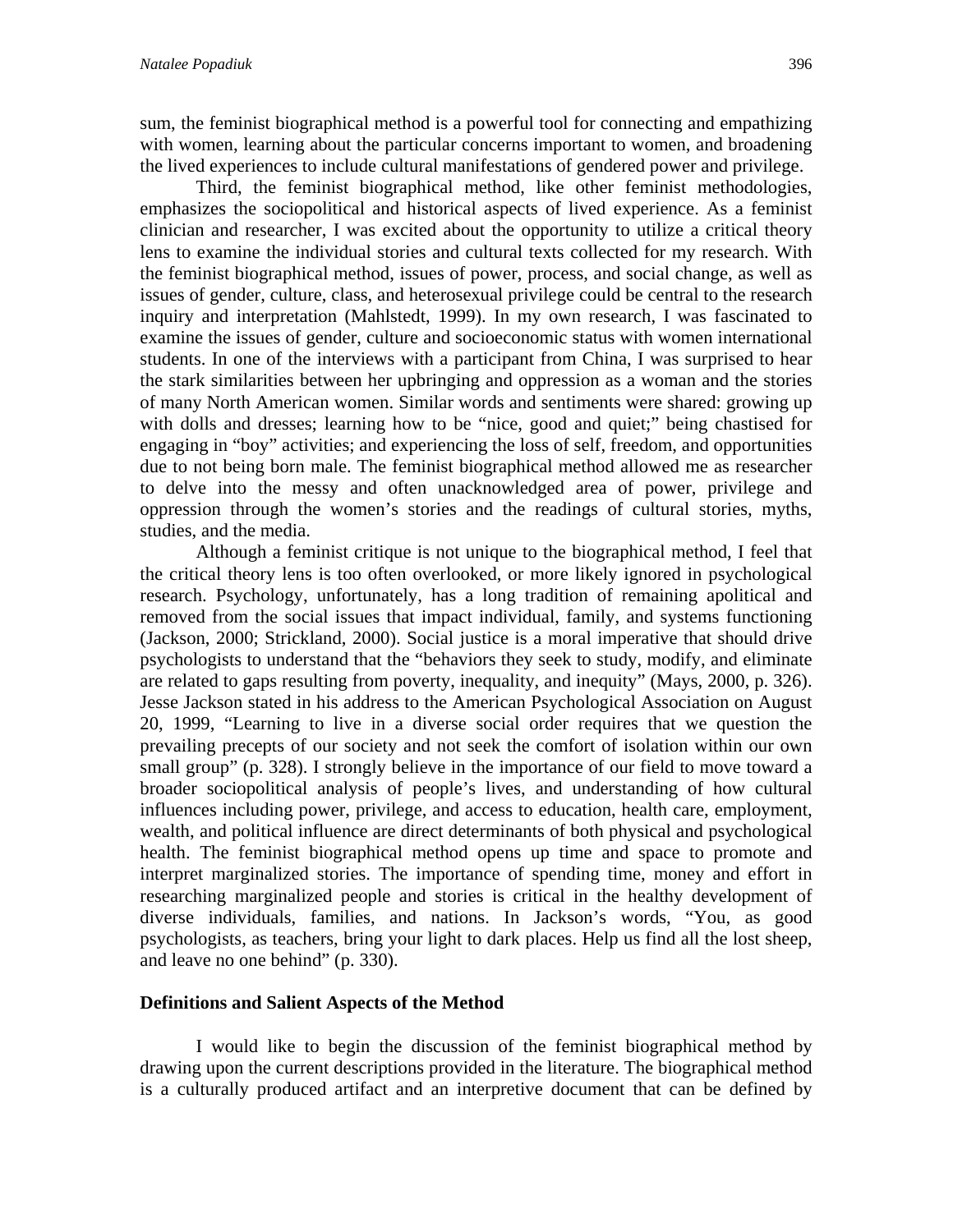sum, the feminist biographical method is a powerful tool for connecting and empathizing with women, learning about the particular concerns important to women, and broadening the lived experiences to include cultural manifestations of gendered power and privilege.

 Third, the feminist biographical method, like other feminist methodologies, emphasizes the sociopolitical and historical aspects of lived experience. As a feminist clinician and researcher, I was excited about the opportunity to utilize a critical theory lens to examine the individual stories and cultural texts collected for my research. With the feminist biographical method, issues of power, process, and social change, as well as issues of gender, culture, class, and heterosexual privilege could be central to the research inquiry and interpretation (Mahlstedt, 1999). In my own research, I was fascinated to examine the issues of gender, culture and socioeconomic status with women international students. In one of the interviews with a participant from China, I was surprised to hear the stark similarities between her upbringing and oppression as a woman and the stories of many North American women. Similar words and sentiments were shared: growing up with dolls and dresses; learning how to be "nice, good and quiet;" being chastised for engaging in "boy" activities; and experiencing the loss of self, freedom, and opportunities due to not being born male. The feminist biographical method allowed me as researcher to delve into the messy and often unacknowledged area of power, privilege and oppression through the women's stories and the readings of cultural stories, myths, studies, and the media.

 Although a feminist critique is not unique to the biographical method, I feel that the critical theory lens is too often overlooked, or more likely ignored in psychological research. Psychology, unfortunately, has a long tradition of remaining apolitical and removed from the social issues that impact individual, family, and systems functioning (Jackson, 2000; Strickland, 2000). Social justice is a moral imperative that should drive psychologists to understand that the "behaviors they seek to study, modify, and eliminate are related to gaps resulting from poverty, inequality, and inequity" (Mays, 2000, p. 326). Jesse Jackson stated in his address to the American Psychological Association on August 20, 1999, "Learning to live in a diverse social order requires that we question the prevailing precepts of our society and not seek the comfort of isolation within our own small group" (p. 328). I strongly believe in the importance of our field to move toward a broader sociopolitical analysis of people's lives, and understanding of how cultural influences including power, privilege, and access to education, health care, employment, wealth, and political influence are direct determinants of both physical and psychological health. The feminist biographical method opens up time and space to promote and interpret marginalized stories. The importance of spending time, money and effort in researching marginalized people and stories is critical in the healthy development of diverse individuals, families, and nations. In Jackson's words, "You, as good psychologists, as teachers, bring your light to dark places. Help us find all the lost sheep, and leave no one behind" (p. 330).

#### **Definitions and Salient Aspects of the Method**

I would like to begin the discussion of the feminist biographical method by drawing upon the current descriptions provided in the literature. The biographical method is a culturally produced artifact and an interpretive document that can be defined by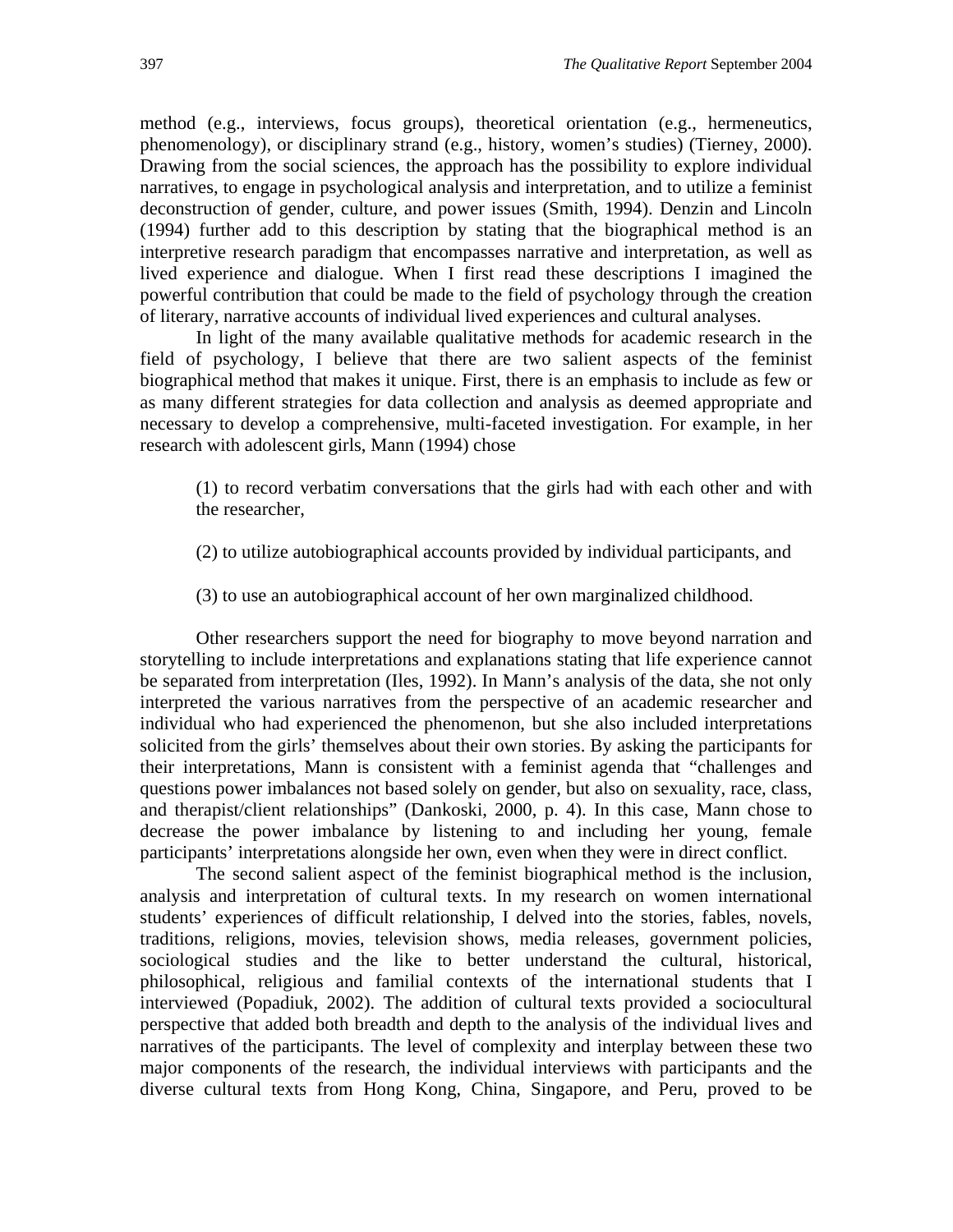method (e.g., interviews, focus groups), theoretical orientation (e.g., hermeneutics, phenomenology), or disciplinary strand (e.g., history, women's studies) (Tierney, 2000). Drawing from the social sciences, the approach has the possibility to explore individual narratives, to engage in psychological analysis and interpretation, and to utilize a feminist deconstruction of gender, culture, and power issues (Smith, 1994). Denzin and Lincoln (1994) further add to this description by stating that the biographical method is an interpretive research paradigm that encompasses narrative and interpretation, as well as lived experience and dialogue. When I first read these descriptions I imagined the powerful contribution that could be made to the field of psychology through the creation of literary, narrative accounts of individual lived experiences and cultural analyses.

In light of the many available qualitative methods for academic research in the field of psychology, I believe that there are two salient aspects of the feminist biographical method that makes it unique. First, there is an emphasis to include as few or as many different strategies for data collection and analysis as deemed appropriate and necessary to develop a comprehensive, multi-faceted investigation. For example, in her research with adolescent girls, Mann (1994) chose

(1) to record verbatim conversations that the girls had with each other and with the researcher,

- (2) to utilize autobiographical accounts provided by individual participants, and
- (3) to use an autobiographical account of her own marginalized childhood.

Other researchers support the need for biography to move beyond narration and storytelling to include interpretations and explanations stating that life experience cannot be separated from interpretation (Iles, 1992). In Mann's analysis of the data, she not only interpreted the various narratives from the perspective of an academic researcher and individual who had experienced the phenomenon, but she also included interpretations solicited from the girls' themselves about their own stories. By asking the participants for their interpretations, Mann is consistent with a feminist agenda that "challenges and questions power imbalances not based solely on gender, but also on sexuality, race, class, and therapist/client relationships" (Dankoski, 2000, p. 4). In this case, Mann chose to decrease the power imbalance by listening to and including her young, female participants' interpretations alongside her own, even when they were in direct conflict.

The second salient aspect of the feminist biographical method is the inclusion, analysis and interpretation of cultural texts. In my research on women international students' experiences of difficult relationship, I delved into the stories, fables, novels, traditions, religions, movies, television shows, media releases, government policies, sociological studies and the like to better understand the cultural, historical, philosophical, religious and familial contexts of the international students that I interviewed (Popadiuk, 2002). The addition of cultural texts provided a sociocultural perspective that added both breadth and depth to the analysis of the individual lives and narratives of the participants. The level of complexity and interplay between these two major components of the research, the individual interviews with participants and the diverse cultural texts from Hong Kong, China, Singapore, and Peru, proved to be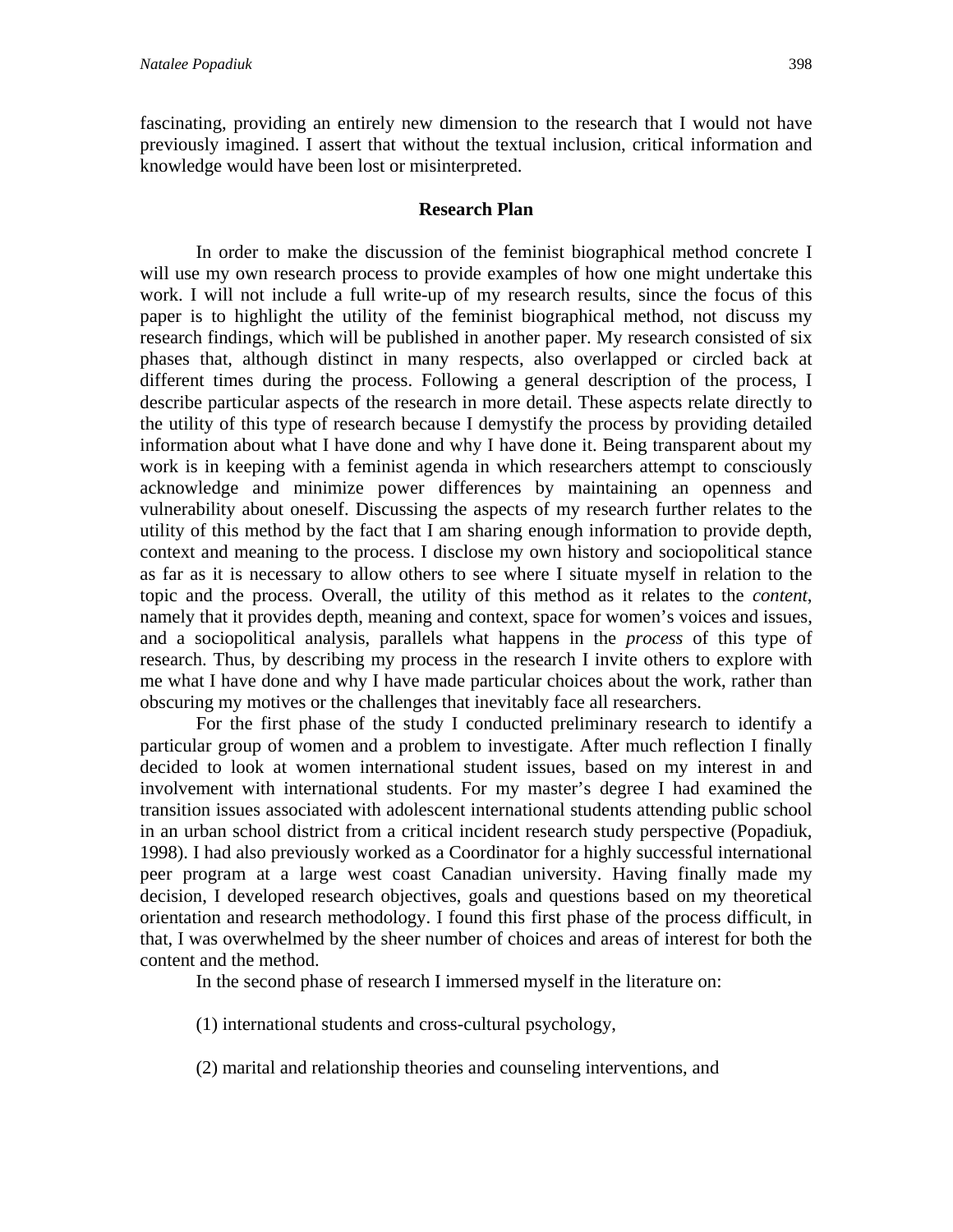fascinating, providing an entirely new dimension to the research that I would not have previously imagined. I assert that without the textual inclusion, critical information and knowledge would have been lost or misinterpreted.

#### **Research Plan**

In order to make the discussion of the feminist biographical method concrete I will use my own research process to provide examples of how one might undertake this work. I will not include a full write-up of my research results, since the focus of this paper is to highlight the utility of the feminist biographical method, not discuss my research findings, which will be published in another paper. My research consisted of six phases that, although distinct in many respects, also overlapped or circled back at different times during the process. Following a general description of the process, I describe particular aspects of the research in more detail. These aspects relate directly to the utility of this type of research because I demystify the process by providing detailed information about what I have done and why I have done it. Being transparent about my work is in keeping with a feminist agenda in which researchers attempt to consciously acknowledge and minimize power differences by maintaining an openness and vulnerability about oneself. Discussing the aspects of my research further relates to the utility of this method by the fact that I am sharing enough information to provide depth, context and meaning to the process. I disclose my own history and sociopolitical stance as far as it is necessary to allow others to see where I situate myself in relation to the topic and the process. Overall, the utility of this method as it relates to the *content*, namely that it provides depth, meaning and context, space for women's voices and issues, and a sociopolitical analysis, parallels what happens in the *process* of this type of research. Thus, by describing my process in the research I invite others to explore with me what I have done and why I have made particular choices about the work, rather than obscuring my motives or the challenges that inevitably face all researchers.

For the first phase of the study I conducted preliminary research to identify a particular group of women and a problem to investigate. After much reflection I finally decided to look at women international student issues, based on my interest in and involvement with international students. For my master's degree I had examined the transition issues associated with adolescent international students attending public school in an urban school district from a critical incident research study perspective (Popadiuk, 1998). I had also previously worked as a Coordinator for a highly successful international peer program at a large west coast Canadian university. Having finally made my decision, I developed research objectives, goals and questions based on my theoretical orientation and research methodology. I found this first phase of the process difficult, in that, I was overwhelmed by the sheer number of choices and areas of interest for both the content and the method.

In the second phase of research I immersed myself in the literature on:

(1) international students and cross-cultural psychology,

(2) marital and relationship theories and counseling interventions, and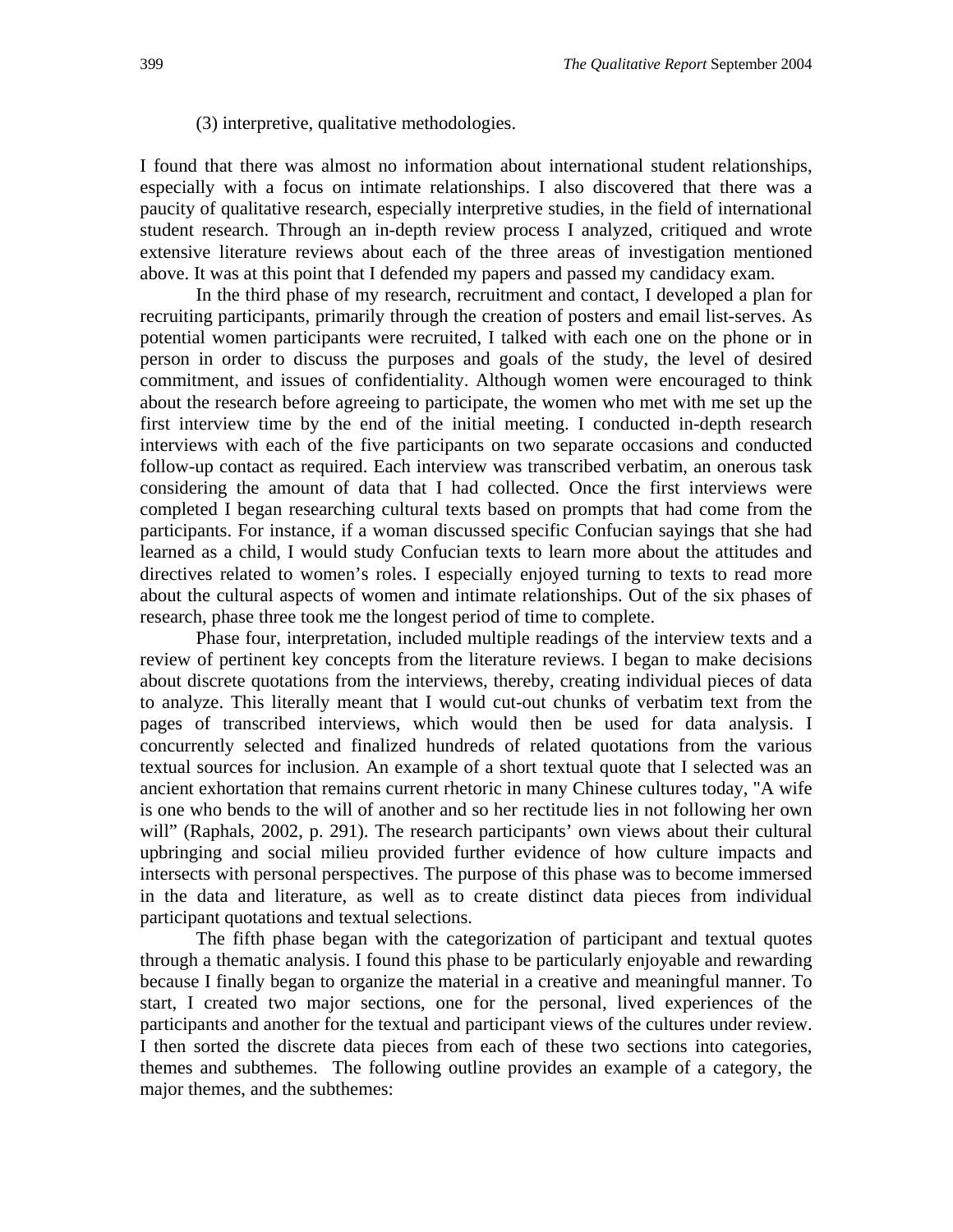### (3) interpretive, qualitative methodologies.

I found that there was almost no information about international student relationships, especially with a focus on intimate relationships. I also discovered that there was a paucity of qualitative research, especially interpretive studies, in the field of international student research. Through an in-depth review process I analyzed, critiqued and wrote extensive literature reviews about each of the three areas of investigation mentioned above. It was at this point that I defended my papers and passed my candidacy exam.

 In the third phase of my research, recruitment and contact, I developed a plan for recruiting participants, primarily through the creation of posters and email list-serves. As potential women participants were recruited, I talked with each one on the phone or in person in order to discuss the purposes and goals of the study, the level of desired commitment, and issues of confidentiality. Although women were encouraged to think about the research before agreeing to participate, the women who met with me set up the first interview time by the end of the initial meeting. I conducted in-depth research interviews with each of the five participants on two separate occasions and conducted follow-up contact as required. Each interview was transcribed verbatim, an onerous task considering the amount of data that I had collected. Once the first interviews were completed I began researching cultural texts based on prompts that had come from the participants. For instance, if a woman discussed specific Confucian sayings that she had learned as a child, I would study Confucian texts to learn more about the attitudes and directives related to women's roles. I especially enjoyed turning to texts to read more about the cultural aspects of women and intimate relationships. Out of the six phases of research, phase three took me the longest period of time to complete.

 Phase four, interpretation, included multiple readings of the interview texts and a review of pertinent key concepts from the literature reviews. I began to make decisions about discrete quotations from the interviews, thereby, creating individual pieces of data to analyze. This literally meant that I would cut-out chunks of verbatim text from the pages of transcribed interviews, which would then be used for data analysis. I concurrently selected and finalized hundreds of related quotations from the various textual sources for inclusion. An example of a short textual quote that I selected was an ancient exhortation that remains current rhetoric in many Chinese cultures today, "A wife is one who bends to the will of another and so her rectitude lies in not following her own will" (Raphals, 2002, p. 291). The research participants' own views about their cultural upbringing and social milieu provided further evidence of how culture impacts and intersects with personal perspectives. The purpose of this phase was to become immersed in the data and literature, as well as to create distinct data pieces from individual participant quotations and textual selections.

 The fifth phase began with the categorization of participant and textual quotes through a thematic analysis. I found this phase to be particularly enjoyable and rewarding because I finally began to organize the material in a creative and meaningful manner. To start, I created two major sections, one for the personal, lived experiences of the participants and another for the textual and participant views of the cultures under review. I then sorted the discrete data pieces from each of these two sections into categories, themes and subthemes. The following outline provides an example of a category, the major themes, and the subthemes: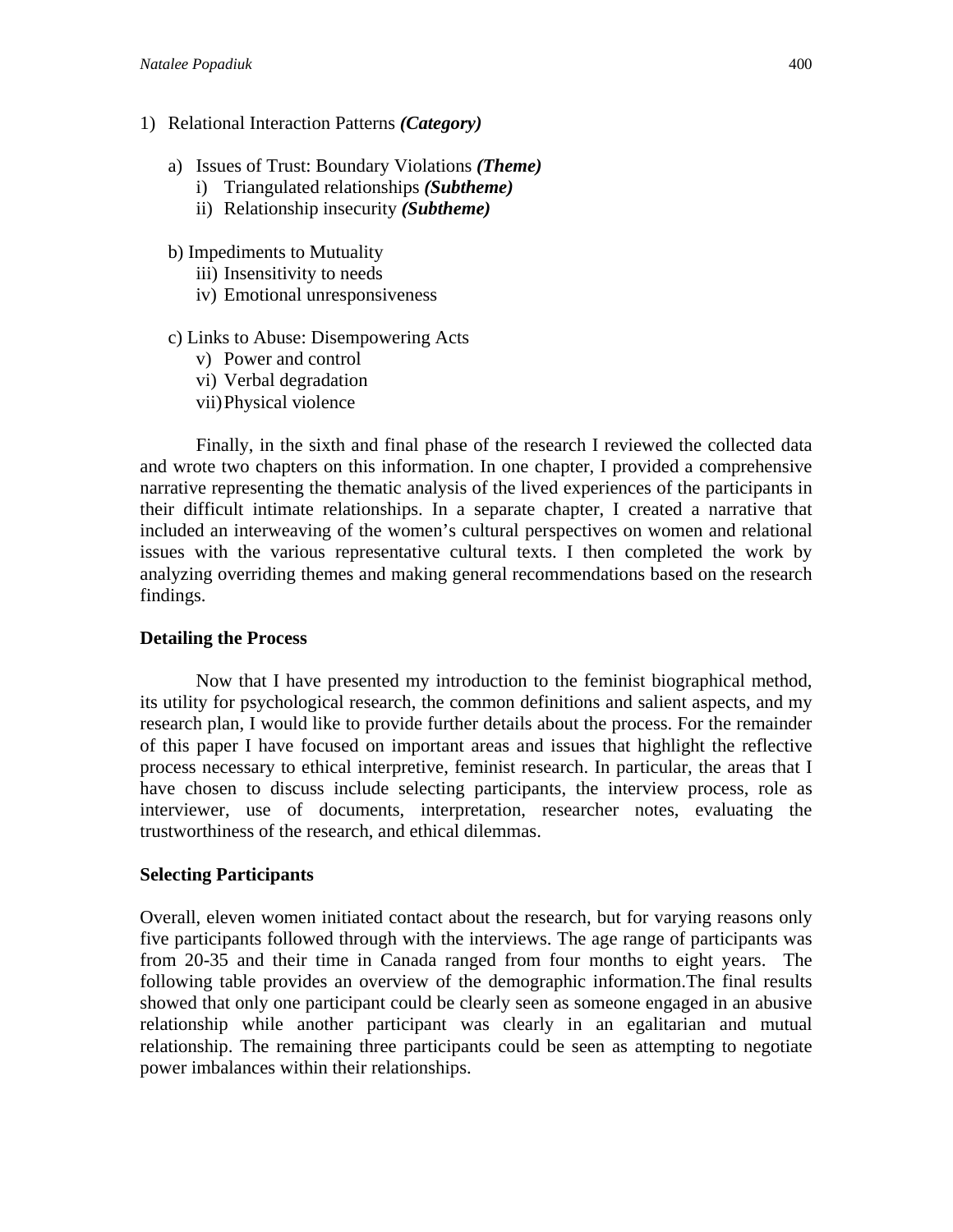- 1) Relational Interaction Patterns *(Category)*
	- a) Issues of Trust: Boundary Violations *(Theme)*
		- i) Triangulated relationships *(Subtheme)*
		- ii) Relationship insecurity *(Subtheme)*
	- b) Impediments to Mutuality
		- iii) Insensitivity to needs
		- iv) Emotional unresponsiveness
	- c) Links to Abuse: Disempowering Acts
		- v) Power and control
		- vi) Verbal degradation
		- vii)Physical violence

 Finally, in the sixth and final phase of the research I reviewed the collected data and wrote two chapters on this information. In one chapter, I provided a comprehensive narrative representing the thematic analysis of the lived experiences of the participants in their difficult intimate relationships. In a separate chapter, I created a narrative that included an interweaving of the women's cultural perspectives on women and relational issues with the various representative cultural texts. I then completed the work by analyzing overriding themes and making general recommendations based on the research findings.

# **Detailing the Process**

 Now that I have presented my introduction to the feminist biographical method, its utility for psychological research, the common definitions and salient aspects, and my research plan, I would like to provide further details about the process. For the remainder of this paper I have focused on important areas and issues that highlight the reflective process necessary to ethical interpretive, feminist research. In particular, the areas that I have chosen to discuss include selecting participants, the interview process, role as interviewer, use of documents, interpretation, researcher notes, evaluating the trustworthiness of the research, and ethical dilemmas.

# **Selecting Participants**

Overall, eleven women initiated contact about the research, but for varying reasons only five participants followed through with the interviews. The age range of participants was from 20-35 and their time in Canada ranged from four months to eight years. The following table provides an overview of the demographic information.The final results showed that only one participant could be clearly seen as someone engaged in an abusive relationship while another participant was clearly in an egalitarian and mutual relationship. The remaining three participants could be seen as attempting to negotiate power imbalances within their relationships.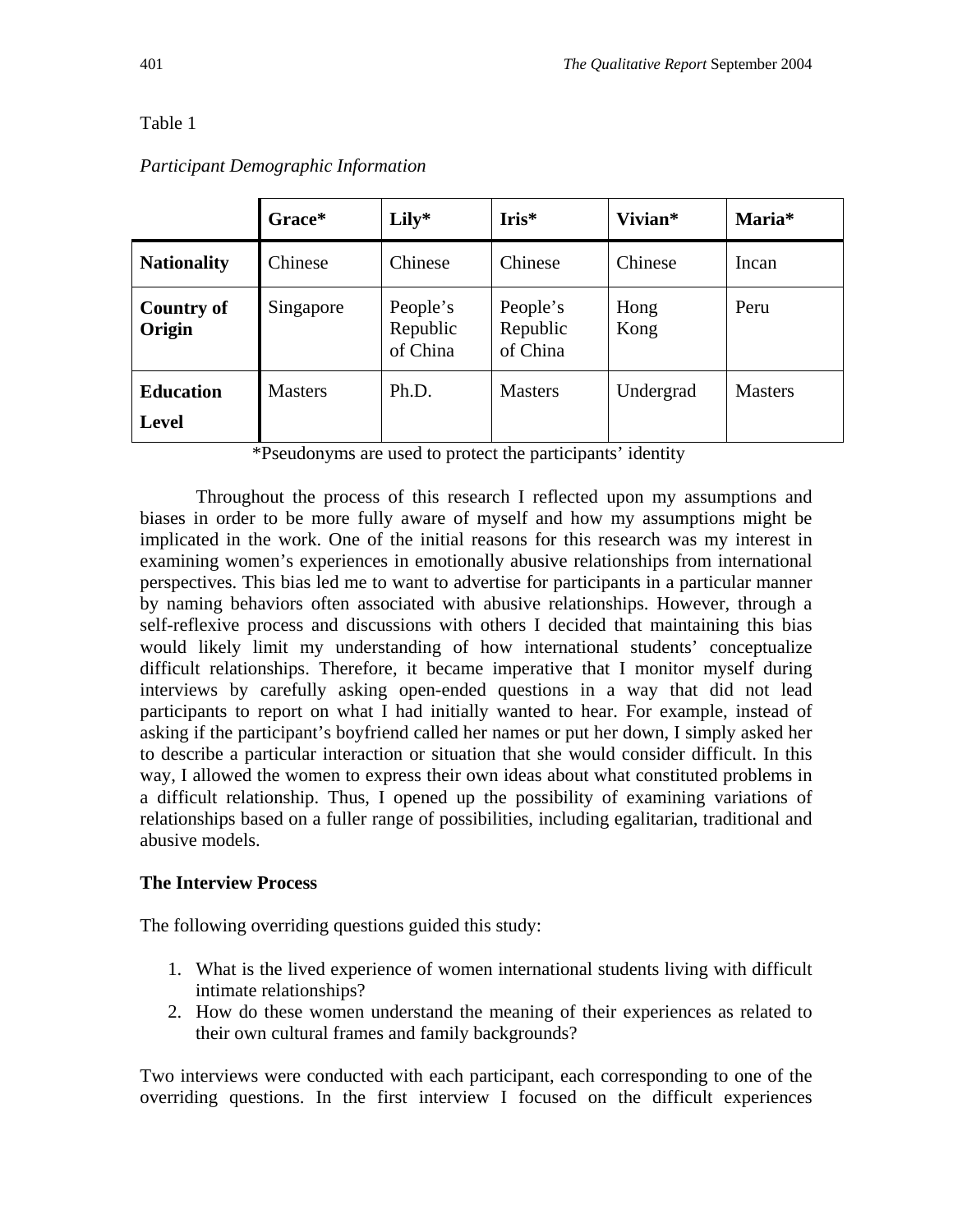# Table 1

|                                  | Grace*         | Lily*                            | $Iris*$                          | Vivian*      | Maria*         |
|----------------------------------|----------------|----------------------------------|----------------------------------|--------------|----------------|
| <b>Nationality</b>               | Chinese        | Chinese                          | Chinese                          | Chinese      | Incan          |
| <b>Country of</b><br>Origin      | Singapore      | People's<br>Republic<br>of China | People's<br>Republic<br>of China | Hong<br>Kong | Peru           |
| <b>Education</b><br><b>Level</b> | <b>Masters</b> | Ph.D.                            | <b>Masters</b>                   | Undergrad    | <b>Masters</b> |

# *Participant Demographic Information*

\*Pseudonyms are used to protect the participants' identity

 Throughout the process of this research I reflected upon my assumptions and biases in order to be more fully aware of myself and how my assumptions might be implicated in the work. One of the initial reasons for this research was my interest in examining women's experiences in emotionally abusive relationships from international perspectives. This bias led me to want to advertise for participants in a particular manner by naming behaviors often associated with abusive relationships. However, through a self-reflexive process and discussions with others I decided that maintaining this bias would likely limit my understanding of how international students' conceptualize difficult relationships. Therefore, it became imperative that I monitor myself during interviews by carefully asking open-ended questions in a way that did not lead participants to report on what I had initially wanted to hear. For example, instead of asking if the participant's boyfriend called her names or put her down, I simply asked her to describe a particular interaction or situation that she would consider difficult. In this way, I allowed the women to express their own ideas about what constituted problems in a difficult relationship. Thus, I opened up the possibility of examining variations of relationships based on a fuller range of possibilities, including egalitarian, traditional and abusive models.

## **The Interview Process**

The following overriding questions guided this study:

- 1. What is the lived experience of women international students living with difficult intimate relationships?
- 2. How do these women understand the meaning of their experiences as related to their own cultural frames and family backgrounds?

Two interviews were conducted with each participant, each corresponding to one of the overriding questions. In the first interview I focused on the difficult experiences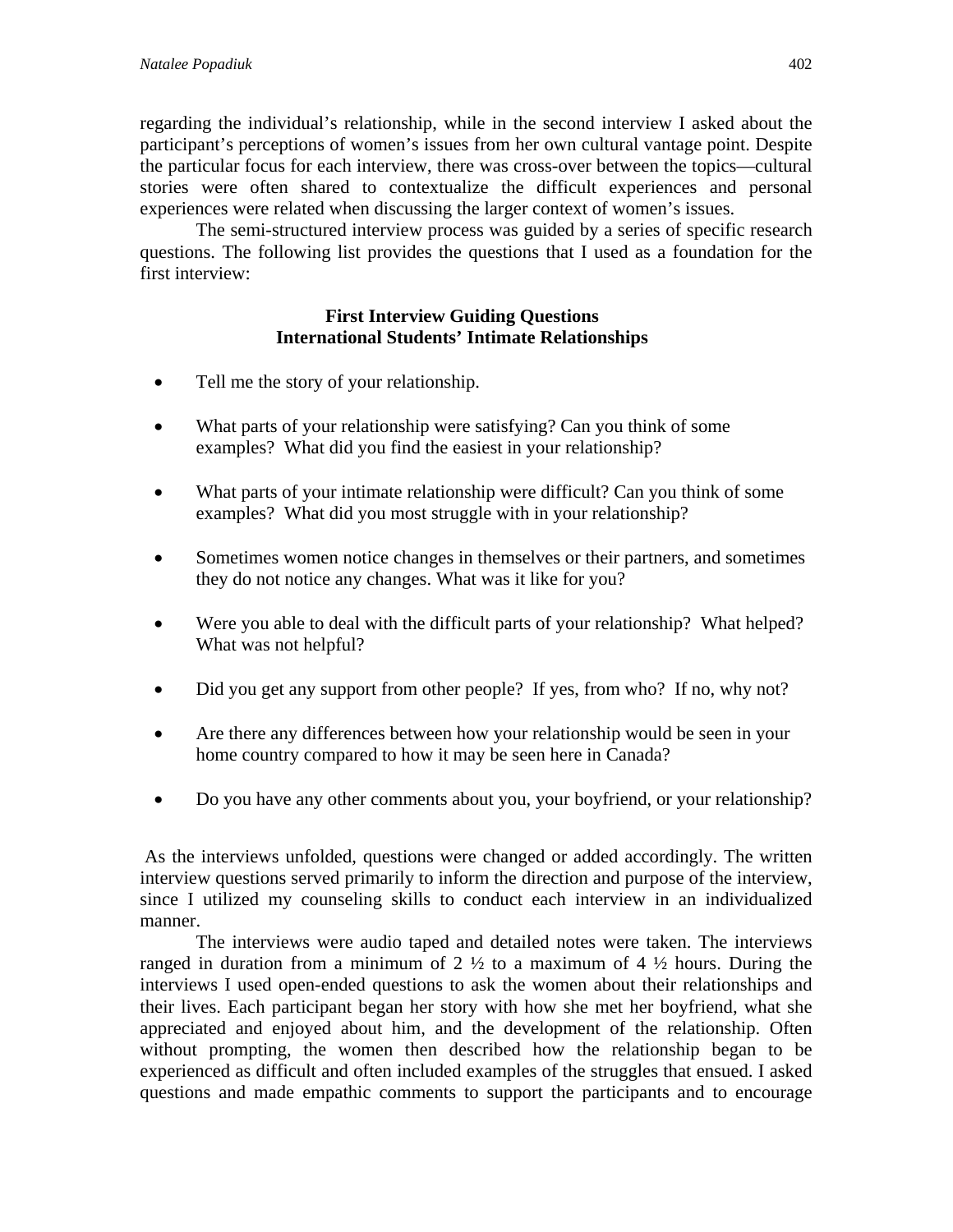regarding the individual's relationship, while in the second interview I asked about the participant's perceptions of women's issues from her own cultural vantage point. Despite the particular focus for each interview, there was cross-over between the topics—cultural stories were often shared to contextualize the difficult experiences and personal experiences were related when discussing the larger context of women's issues.

 The semi-structured interview process was guided by a series of specific research questions. The following list provides the questions that I used as a foundation for the first interview:

# **First Interview Guiding Questions International Students' Intimate Relationships**

- Tell me the story of your relationship.
- What parts of your relationship were satisfying? Can you think of some examples? What did you find the easiest in your relationship?
- What parts of your intimate relationship were difficult? Can you think of some examples? What did you most struggle with in your relationship?
- Sometimes women notice changes in themselves or their partners, and sometimes they do not notice any changes. What was it like for you?
- Were you able to deal with the difficult parts of your relationship? What helped? What was not helpful?
- Did you get any support from other people? If yes, from who? If no, why not?
- Are there any differences between how your relationship would be seen in your home country compared to how it may be seen here in Canada?
- Do you have any other comments about you, your boyfriend, or your relationship?

 As the interviews unfolded, questions were changed or added accordingly. The written interview questions served primarily to inform the direction and purpose of the interview, since I utilized my counseling skills to conduct each interview in an individualized manner.

 The interviews were audio taped and detailed notes were taken. The interviews ranged in duration from a minimum of  $2 \frac{1}{2}$  to a maximum of  $4 \frac{1}{2}$  hours. During the interviews I used open-ended questions to ask the women about their relationships and their lives. Each participant began her story with how she met her boyfriend, what she appreciated and enjoyed about him, and the development of the relationship. Often without prompting, the women then described how the relationship began to be experienced as difficult and often included examples of the struggles that ensued. I asked questions and made empathic comments to support the participants and to encourage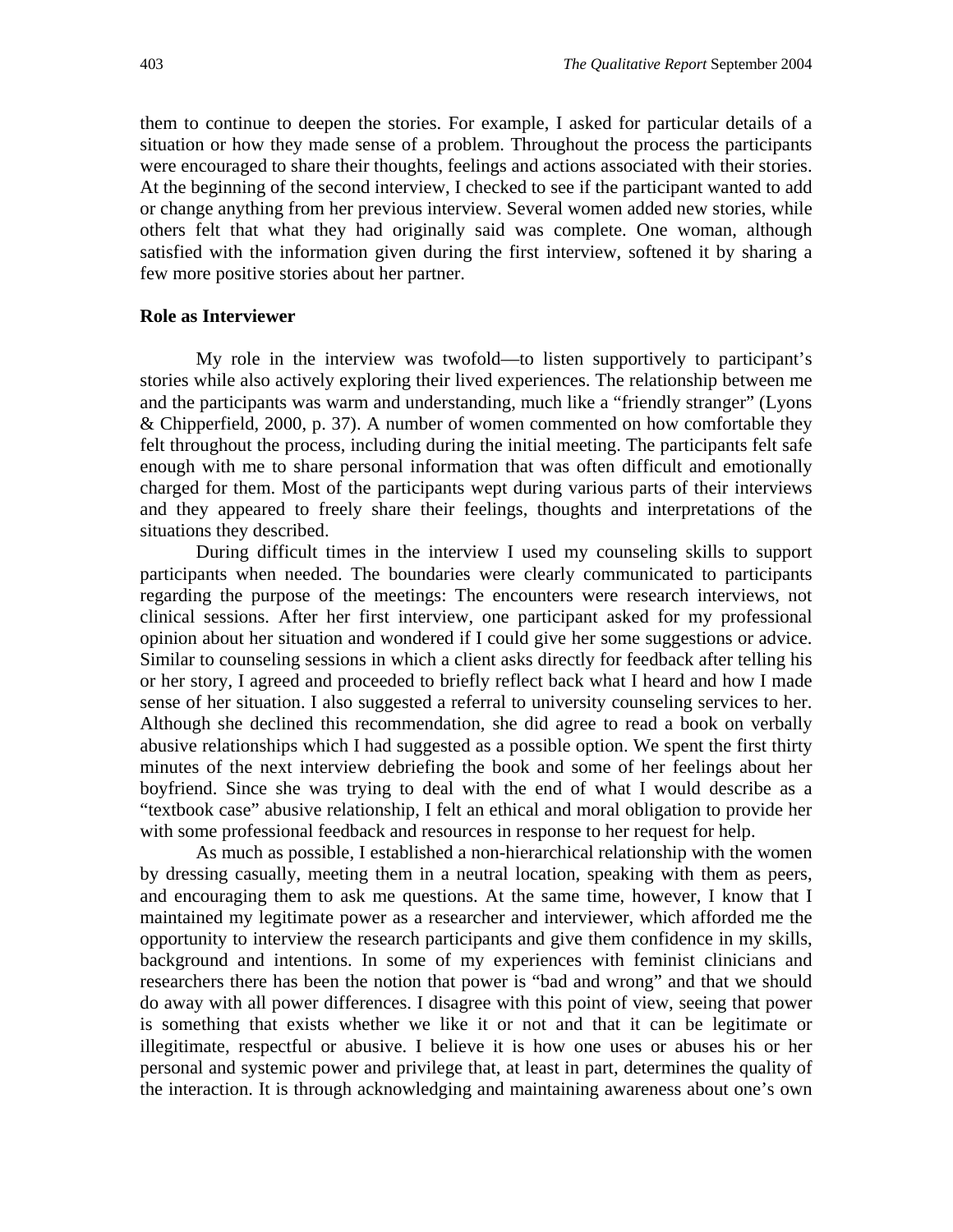them to continue to deepen the stories. For example, I asked for particular details of a situation or how they made sense of a problem. Throughout the process the participants were encouraged to share their thoughts, feelings and actions associated with their stories. At the beginning of the second interview, I checked to see if the participant wanted to add or change anything from her previous interview. Several women added new stories, while others felt that what they had originally said was complete. One woman, although satisfied with the information given during the first interview, softened it by sharing a few more positive stories about her partner.

#### **Role as Interviewer**

My role in the interview was twofold—to listen supportively to participant's stories while also actively exploring their lived experiences. The relationship between me and the participants was warm and understanding, much like a "friendly stranger" (Lyons & Chipperfield, 2000, p. 37). A number of women commented on how comfortable they felt throughout the process, including during the initial meeting. The participants felt safe enough with me to share personal information that was often difficult and emotionally charged for them. Most of the participants wept during various parts of their interviews and they appeared to freely share their feelings, thoughts and interpretations of the situations they described.

During difficult times in the interview I used my counseling skills to support participants when needed. The boundaries were clearly communicated to participants regarding the purpose of the meetings: The encounters were research interviews, not clinical sessions. After her first interview, one participant asked for my professional opinion about her situation and wondered if I could give her some suggestions or advice. Similar to counseling sessions in which a client asks directly for feedback after telling his or her story, I agreed and proceeded to briefly reflect back what I heard and how I made sense of her situation. I also suggested a referral to university counseling services to her. Although she declined this recommendation, she did agree to read a book on verbally abusive relationships which I had suggested as a possible option. We spent the first thirty minutes of the next interview debriefing the book and some of her feelings about her boyfriend. Since she was trying to deal with the end of what I would describe as a "textbook case" abusive relationship, I felt an ethical and moral obligation to provide her with some professional feedback and resources in response to her request for help.

As much as possible, I established a non-hierarchical relationship with the women by dressing casually, meeting them in a neutral location, speaking with them as peers, and encouraging them to ask me questions. At the same time, however, I know that I maintained my legitimate power as a researcher and interviewer, which afforded me the opportunity to interview the research participants and give them confidence in my skills, background and intentions. In some of my experiences with feminist clinicians and researchers there has been the notion that power is "bad and wrong" and that we should do away with all power differences. I disagree with this point of view, seeing that power is something that exists whether we like it or not and that it can be legitimate or illegitimate, respectful or abusive. I believe it is how one uses or abuses his or her personal and systemic power and privilege that, at least in part, determines the quality of the interaction. It is through acknowledging and maintaining awareness about one's own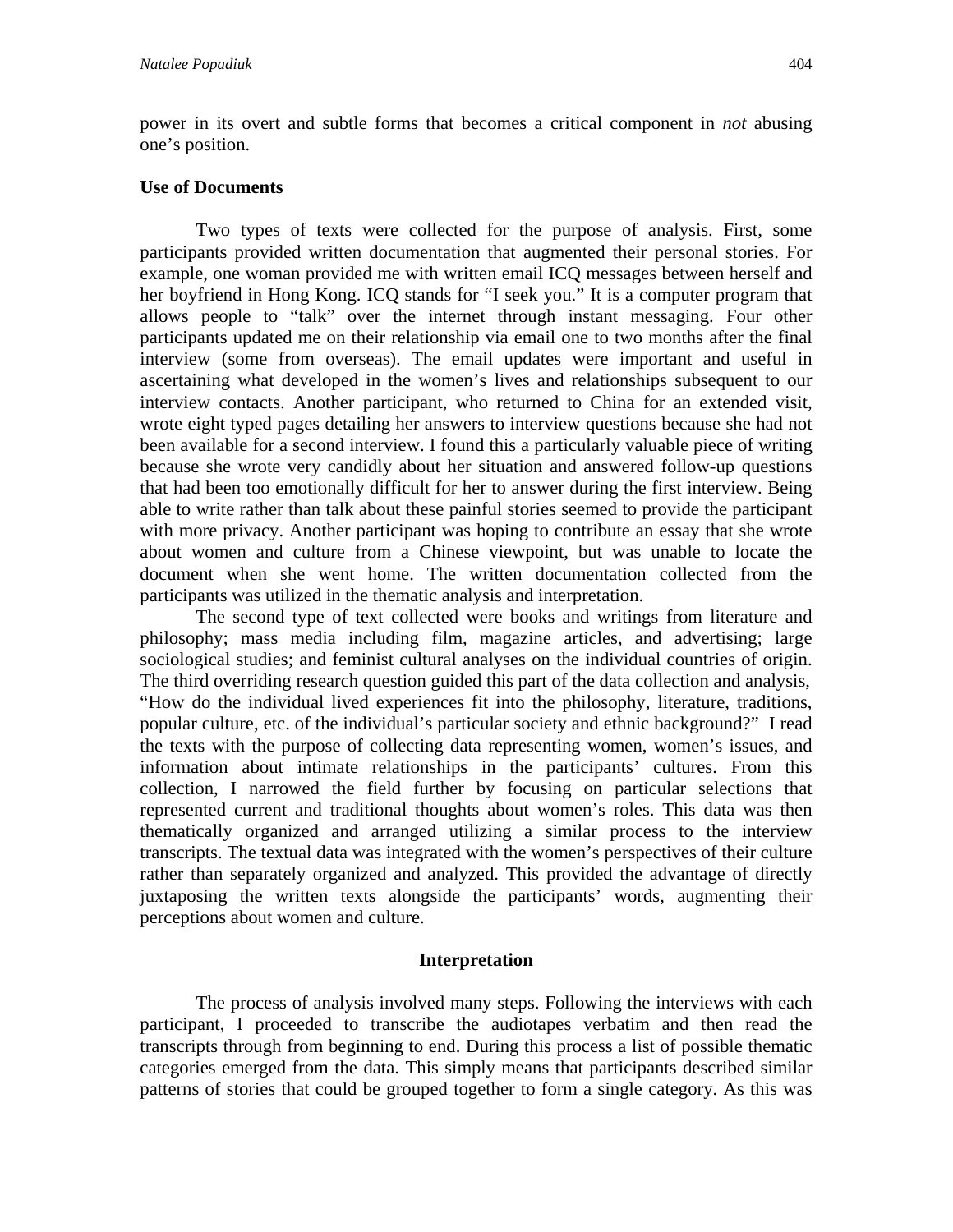power in its overt and subtle forms that becomes a critical component in *not* abusing one's position.

### **Use of Documents**

 Two types of texts were collected for the purpose of analysis. First, some participants provided written documentation that augmented their personal stories. For example, one woman provided me with written email ICQ messages between herself and her boyfriend in Hong Kong. ICQ stands for "I seek you." It is a computer program that allows people to "talk" over the internet through instant messaging. Four other participants updated me on their relationship via email one to two months after the final interview (some from overseas). The email updates were important and useful in ascertaining what developed in the women's lives and relationships subsequent to our interview contacts. Another participant, who returned to China for an extended visit, wrote eight typed pages detailing her answers to interview questions because she had not been available for a second interview. I found this a particularly valuable piece of writing because she wrote very candidly about her situation and answered follow-up questions that had been too emotionally difficult for her to answer during the first interview. Being able to write rather than talk about these painful stories seemed to provide the participant with more privacy. Another participant was hoping to contribute an essay that she wrote about women and culture from a Chinese viewpoint, but was unable to locate the document when she went home. The written documentation collected from the participants was utilized in the thematic analysis and interpretation.

 The second type of text collected were books and writings from literature and philosophy; mass media including film, magazine articles, and advertising; large sociological studies; and feminist cultural analyses on the individual countries of origin. The third overriding research question guided this part of the data collection and analysis, "How do the individual lived experiences fit into the philosophy, literature, traditions, popular culture, etc. of the individual's particular society and ethnic background?" I read the texts with the purpose of collecting data representing women, women's issues, and information about intimate relationships in the participants' cultures. From this collection, I narrowed the field further by focusing on particular selections that represented current and traditional thoughts about women's roles. This data was then thematically organized and arranged utilizing a similar process to the interview transcripts. The textual data was integrated with the women's perspectives of their culture rather than separately organized and analyzed. This provided the advantage of directly juxtaposing the written texts alongside the participants' words, augmenting their perceptions about women and culture.

### **Interpretation**

The process of analysis involved many steps. Following the interviews with each participant, I proceeded to transcribe the audiotapes verbatim and then read the transcripts through from beginning to end. During this process a list of possible thematic categories emerged from the data. This simply means that participants described similar patterns of stories that could be grouped together to form a single category. As this was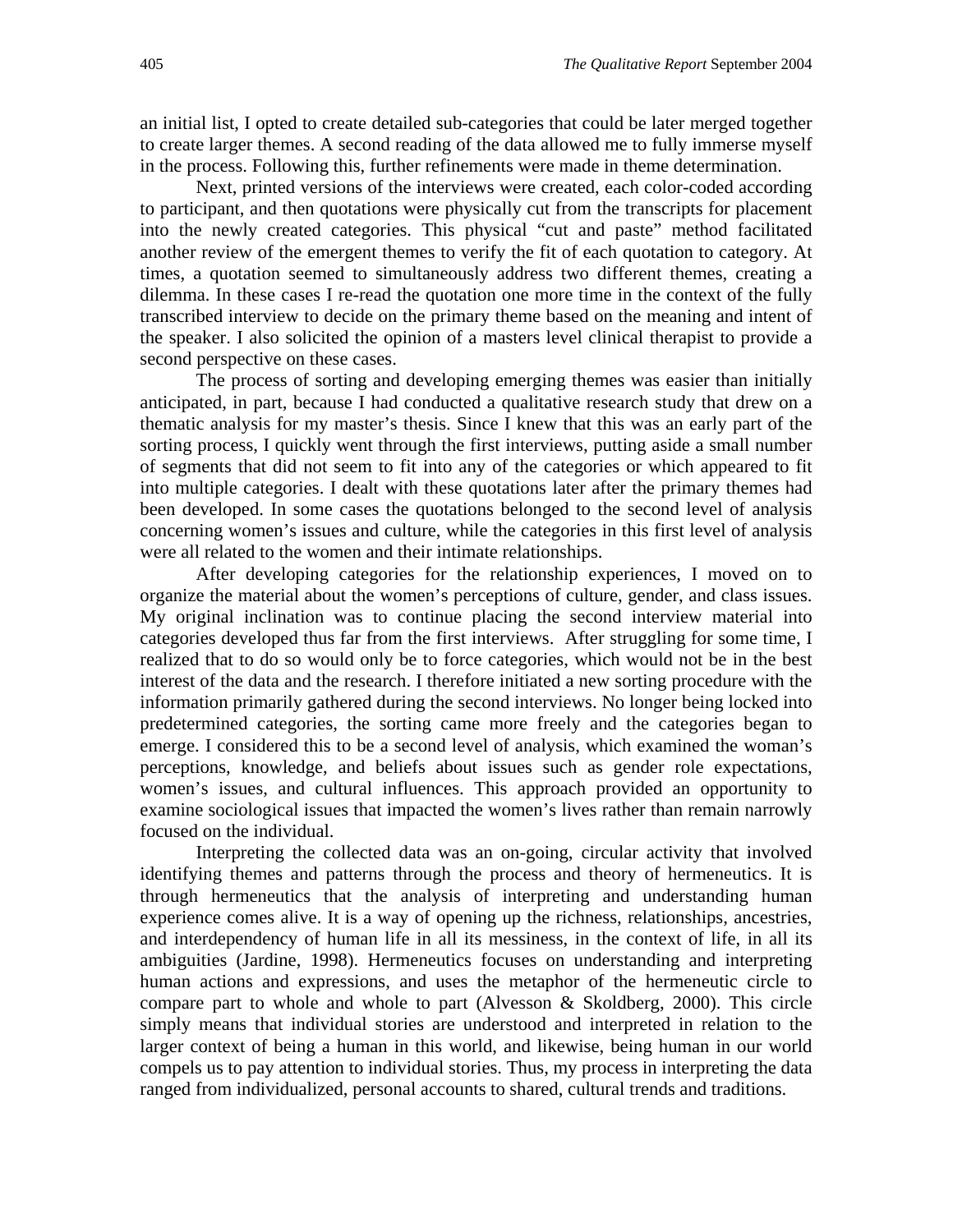an initial list, I opted to create detailed sub-categories that could be later merged together to create larger themes. A second reading of the data allowed me to fully immerse myself in the process. Following this, further refinements were made in theme determination.

Next, printed versions of the interviews were created, each color-coded according to participant, and then quotations were physically cut from the transcripts for placement into the newly created categories. This physical "cut and paste" method facilitated another review of the emergent themes to verify the fit of each quotation to category. At times, a quotation seemed to simultaneously address two different themes, creating a dilemma. In these cases I re-read the quotation one more time in the context of the fully transcribed interview to decide on the primary theme based on the meaning and intent of the speaker. I also solicited the opinion of a masters level clinical therapist to provide a second perspective on these cases.

The process of sorting and developing emerging themes was easier than initially anticipated, in part, because I had conducted a qualitative research study that drew on a thematic analysis for my master's thesis. Since I knew that this was an early part of the sorting process, I quickly went through the first interviews, putting aside a small number of segments that did not seem to fit into any of the categories or which appeared to fit into multiple categories. I dealt with these quotations later after the primary themes had been developed. In some cases the quotations belonged to the second level of analysis concerning women's issues and culture, while the categories in this first level of analysis were all related to the women and their intimate relationships.

After developing categories for the relationship experiences, I moved on to organize the material about the women's perceptions of culture, gender, and class issues. My original inclination was to continue placing the second interview material into categories developed thus far from the first interviews. After struggling for some time, I realized that to do so would only be to force categories, which would not be in the best interest of the data and the research. I therefore initiated a new sorting procedure with the information primarily gathered during the second interviews. No longer being locked into predetermined categories, the sorting came more freely and the categories began to emerge. I considered this to be a second level of analysis, which examined the woman's perceptions, knowledge, and beliefs about issues such as gender role expectations, women's issues, and cultural influences. This approach provided an opportunity to examine sociological issues that impacted the women's lives rather than remain narrowly focused on the individual.

Interpreting the collected data was an on-going, circular activity that involved identifying themes and patterns through the process and theory of hermeneutics. It is through hermeneutics that the analysis of interpreting and understanding human experience comes alive. It is a way of opening up the richness, relationships, ancestries, and interdependency of human life in all its messiness, in the context of life, in all its ambiguities (Jardine, 1998). Hermeneutics focuses on understanding and interpreting human actions and expressions, and uses the metaphor of the hermeneutic circle to compare part to whole and whole to part (Alvesson & Skoldberg, 2000). This circle simply means that individual stories are understood and interpreted in relation to the larger context of being a human in this world, and likewise, being human in our world compels us to pay attention to individual stories. Thus, my process in interpreting the data ranged from individualized, personal accounts to shared, cultural trends and traditions.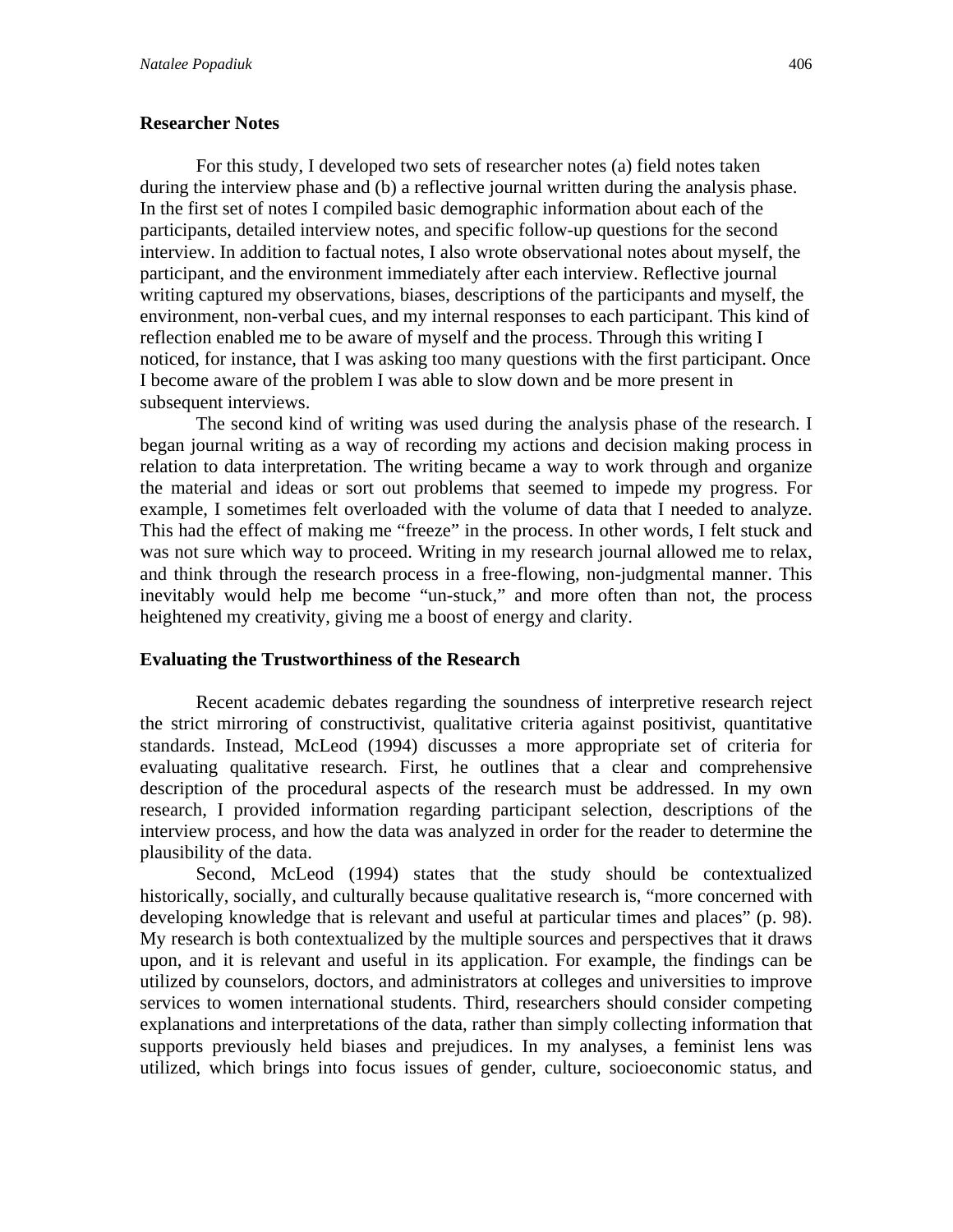### **Researcher Notes**

 For this study, I developed two sets of researcher notes (a) field notes taken during the interview phase and (b) a reflective journal written during the analysis phase. In the first set of notes I compiled basic demographic information about each of the participants, detailed interview notes, and specific follow-up questions for the second interview. In addition to factual notes, I also wrote observational notes about myself, the participant, and the environment immediately after each interview. Reflective journal writing captured my observations, biases, descriptions of the participants and myself, the environment, non-verbal cues, and my internal responses to each participant. This kind of reflection enabled me to be aware of myself and the process. Through this writing I noticed, for instance, that I was asking too many questions with the first participant. Once I become aware of the problem I was able to slow down and be more present in subsequent interviews.

The second kind of writing was used during the analysis phase of the research. I began journal writing as a way of recording my actions and decision making process in relation to data interpretation. The writing became a way to work through and organize the material and ideas or sort out problems that seemed to impede my progress. For example, I sometimes felt overloaded with the volume of data that I needed to analyze. This had the effect of making me "freeze" in the process. In other words, I felt stuck and was not sure which way to proceed. Writing in my research journal allowed me to relax, and think through the research process in a free-flowing, non-judgmental manner. This inevitably would help me become "un-stuck," and more often than not, the process heightened my creativity, giving me a boost of energy and clarity.

#### **Evaluating the Trustworthiness of the Research**

 Recent academic debates regarding the soundness of interpretive research reject the strict mirroring of constructivist, qualitative criteria against positivist, quantitative standards. Instead, McLeod (1994) discusses a more appropriate set of criteria for evaluating qualitative research. First, he outlines that a clear and comprehensive description of the procedural aspects of the research must be addressed. In my own research, I provided information regarding participant selection, descriptions of the interview process, and how the data was analyzed in order for the reader to determine the plausibility of the data.

 Second, McLeod (1994) states that the study should be contextualized historically, socially, and culturally because qualitative research is, "more concerned with developing knowledge that is relevant and useful at particular times and places" (p. 98). My research is both contextualized by the multiple sources and perspectives that it draws upon, and it is relevant and useful in its application. For example, the findings can be utilized by counselors, doctors, and administrators at colleges and universities to improve services to women international students. Third, researchers should consider competing explanations and interpretations of the data, rather than simply collecting information that supports previously held biases and prejudices. In my analyses, a feminist lens was utilized, which brings into focus issues of gender, culture, socioeconomic status, and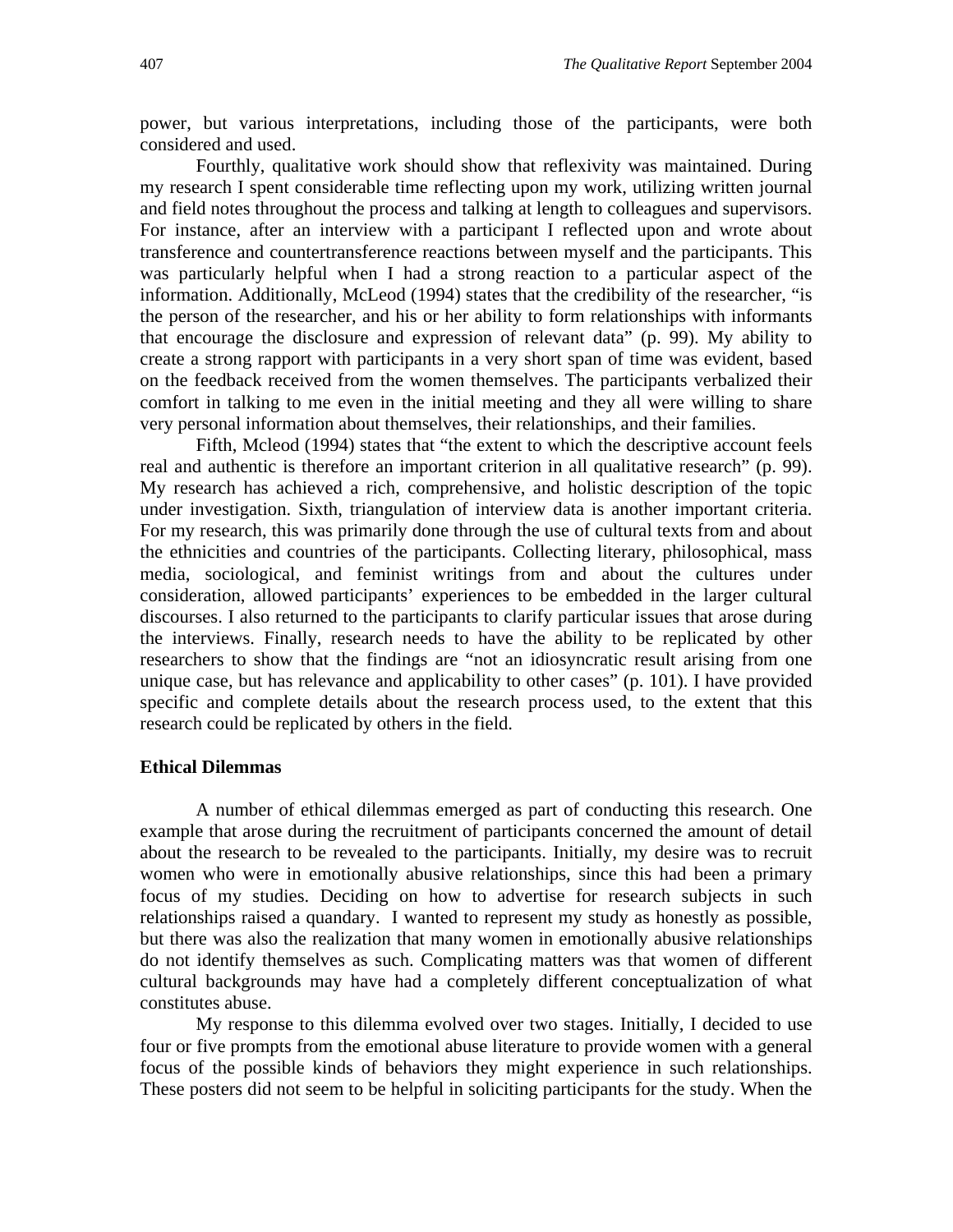power, but various interpretations, including those of the participants, were both considered and used.

Fourthly, qualitative work should show that reflexivity was maintained. During my research I spent considerable time reflecting upon my work, utilizing written journal and field notes throughout the process and talking at length to colleagues and supervisors. For instance, after an interview with a participant I reflected upon and wrote about transference and countertransference reactions between myself and the participants. This was particularly helpful when I had a strong reaction to a particular aspect of the information. Additionally, McLeod (1994) states that the credibility of the researcher, "is the person of the researcher, and his or her ability to form relationships with informants that encourage the disclosure and expression of relevant data" (p. 99). My ability to create a strong rapport with participants in a very short span of time was evident, based on the feedback received from the women themselves. The participants verbalized their comfort in talking to me even in the initial meeting and they all were willing to share very personal information about themselves, their relationships, and their families.

 Fifth, Mcleod (1994) states that "the extent to which the descriptive account feels real and authentic is therefore an important criterion in all qualitative research" (p. 99). My research has achieved a rich, comprehensive, and holistic description of the topic under investigation. Sixth, triangulation of interview data is another important criteria. For my research, this was primarily done through the use of cultural texts from and about the ethnicities and countries of the participants. Collecting literary, philosophical, mass media, sociological, and feminist writings from and about the cultures under consideration, allowed participants' experiences to be embedded in the larger cultural discourses. I also returned to the participants to clarify particular issues that arose during the interviews. Finally, research needs to have the ability to be replicated by other researchers to show that the findings are "not an idiosyncratic result arising from one unique case, but has relevance and applicability to other cases" (p. 101). I have provided specific and complete details about the research process used, to the extent that this research could be replicated by others in the field.

#### **Ethical Dilemmas**

 A number of ethical dilemmas emerged as part of conducting this research. One example that arose during the recruitment of participants concerned the amount of detail about the research to be revealed to the participants. Initially, my desire was to recruit women who were in emotionally abusive relationships, since this had been a primary focus of my studies. Deciding on how to advertise for research subjects in such relationships raised a quandary. I wanted to represent my study as honestly as possible, but there was also the realization that many women in emotionally abusive relationships do not identify themselves as such. Complicating matters was that women of different cultural backgrounds may have had a completely different conceptualization of what constitutes abuse.

 My response to this dilemma evolved over two stages. Initially, I decided to use four or five prompts from the emotional abuse literature to provide women with a general focus of the possible kinds of behaviors they might experience in such relationships. These posters did not seem to be helpful in soliciting participants for the study. When the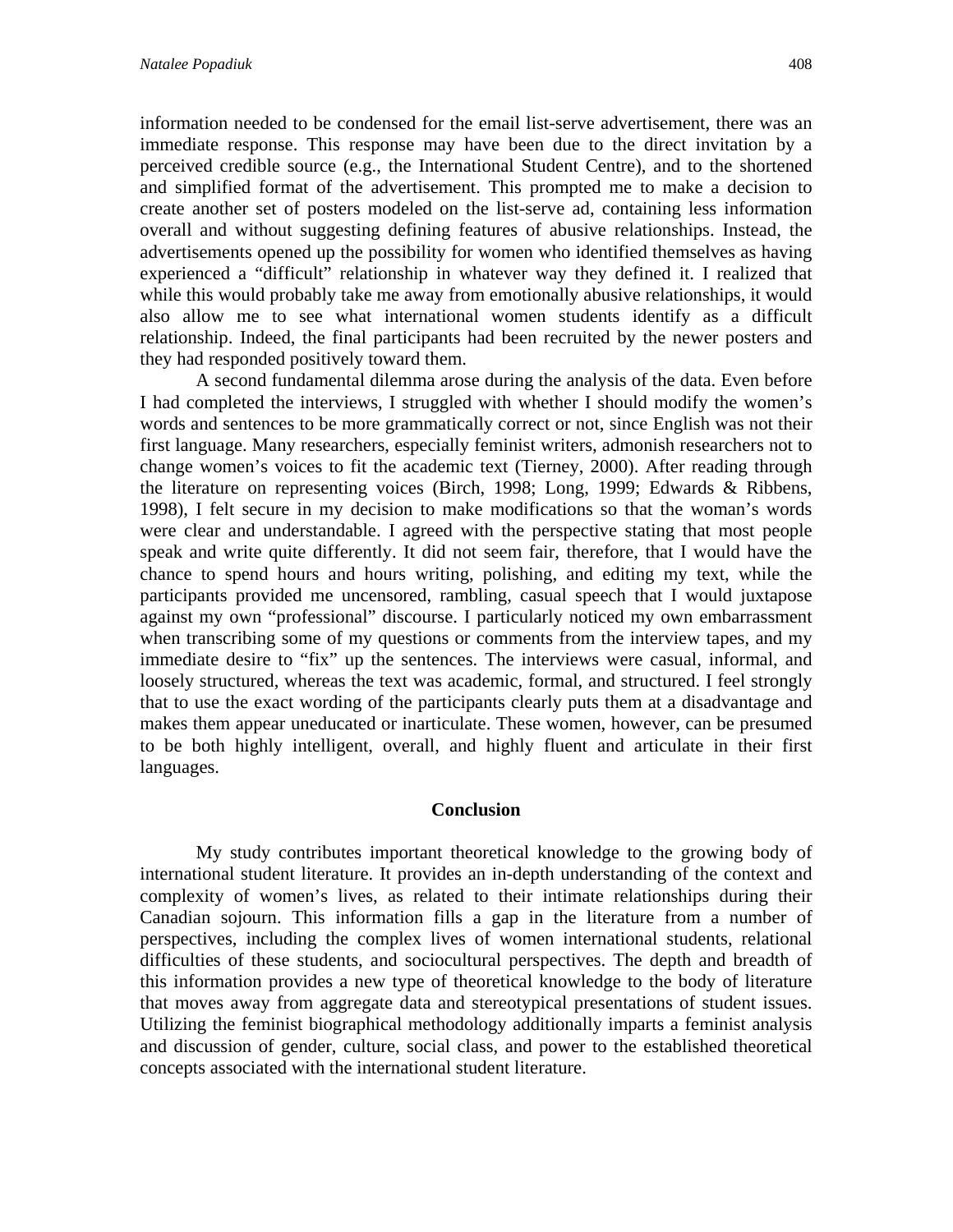information needed to be condensed for the email list-serve advertisement, there was an immediate response. This response may have been due to the direct invitation by a perceived credible source (e.g., the International Student Centre), and to the shortened and simplified format of the advertisement. This prompted me to make a decision to create another set of posters modeled on the list-serve ad, containing less information overall and without suggesting defining features of abusive relationships. Instead, the advertisements opened up the possibility for women who identified themselves as having experienced a "difficult" relationship in whatever way they defined it. I realized that while this would probably take me away from emotionally abusive relationships, it would also allow me to see what international women students identify as a difficult relationship. Indeed, the final participants had been recruited by the newer posters and they had responded positively toward them.

A second fundamental dilemma arose during the analysis of the data. Even before I had completed the interviews, I struggled with whether I should modify the women's words and sentences to be more grammatically correct or not, since English was not their first language. Many researchers, especially feminist writers, admonish researchers not to change women's voices to fit the academic text (Tierney, 2000). After reading through the literature on representing voices (Birch, 1998; Long, 1999; Edwards & Ribbens, 1998), I felt secure in my decision to make modifications so that the woman's words were clear and understandable. I agreed with the perspective stating that most people speak and write quite differently. It did not seem fair, therefore, that I would have the chance to spend hours and hours writing, polishing, and editing my text, while the participants provided me uncensored, rambling, casual speech that I would juxtapose against my own "professional" discourse. I particularly noticed my own embarrassment when transcribing some of my questions or comments from the interview tapes, and my immediate desire to "fix" up the sentences. The interviews were casual, informal, and loosely structured, whereas the text was academic, formal, and structured. I feel strongly that to use the exact wording of the participants clearly puts them at a disadvantage and makes them appear uneducated or inarticulate. These women, however, can be presumed to be both highly intelligent, overall, and highly fluent and articulate in their first languages.

#### **Conclusion**

My study contributes important theoretical knowledge to the growing body of international student literature. It provides an in-depth understanding of the context and complexity of women's lives, as related to their intimate relationships during their Canadian sojourn. This information fills a gap in the literature from a number of perspectives, including the complex lives of women international students, relational difficulties of these students, and sociocultural perspectives. The depth and breadth of this information provides a new type of theoretical knowledge to the body of literature that moves away from aggregate data and stereotypical presentations of student issues. Utilizing the feminist biographical methodology additionally imparts a feminist analysis and discussion of gender, culture, social class, and power to the established theoretical concepts associated with the international student literature.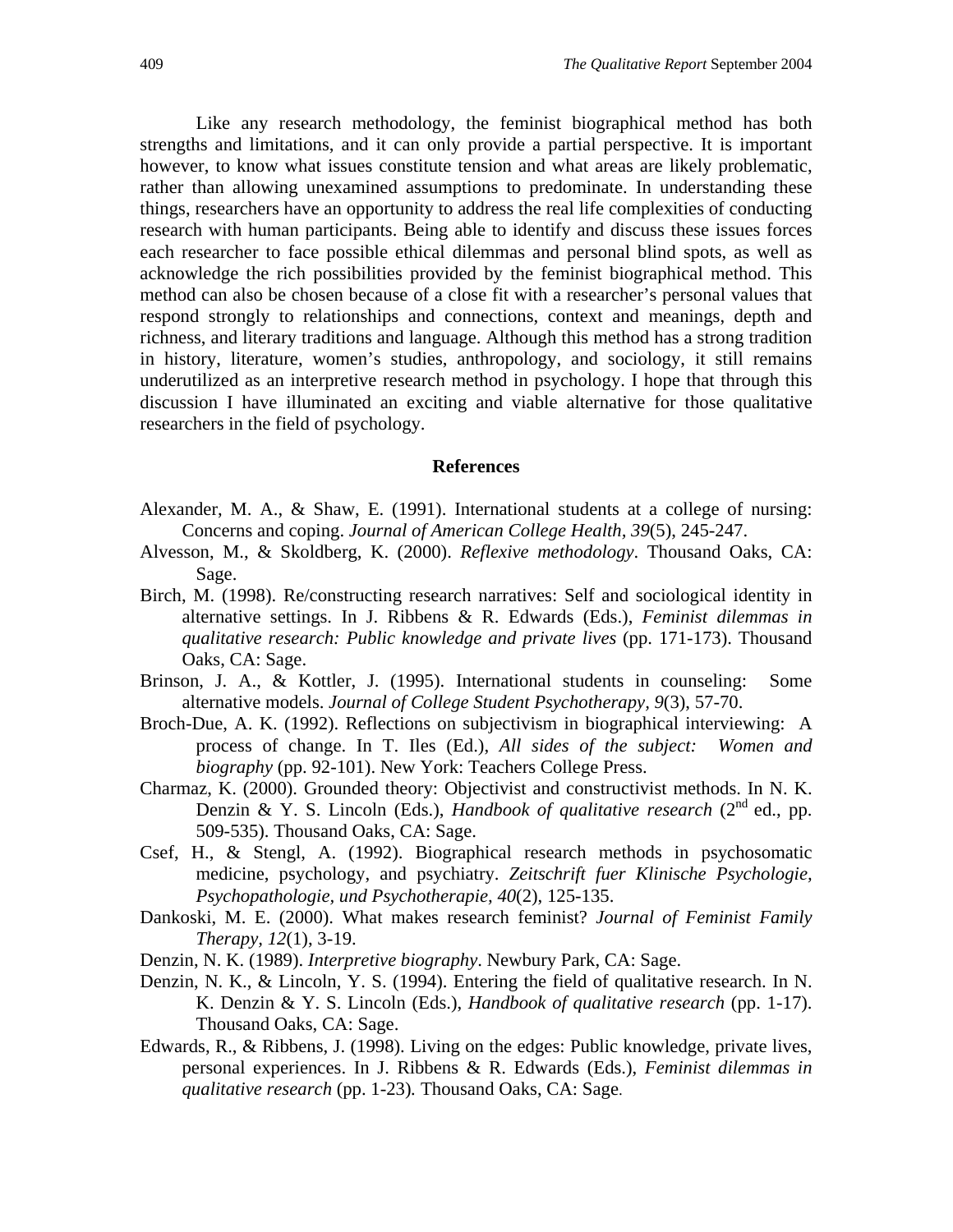Like any research methodology, the feminist biographical method has both strengths and limitations, and it can only provide a partial perspective. It is important however, to know what issues constitute tension and what areas are likely problematic, rather than allowing unexamined assumptions to predominate. In understanding these things, researchers have an opportunity to address the real life complexities of conducting research with human participants. Being able to identify and discuss these issues forces each researcher to face possible ethical dilemmas and personal blind spots, as well as acknowledge the rich possibilities provided by the feminist biographical method. This method can also be chosen because of a close fit with a researcher's personal values that respond strongly to relationships and connections, context and meanings, depth and richness, and literary traditions and language. Although this method has a strong tradition in history, literature, women's studies, anthropology, and sociology, it still remains underutilized as an interpretive research method in psychology. I hope that through this discussion I have illuminated an exciting and viable alternative for those qualitative researchers in the field of psychology.

#### **References**

- Alexander, M. A., & Shaw, E. (1991). International students at a college of nursing: Concerns and coping. *Journal of American College Health, 39*(5), 245-247.
- Alvesson, M., & Skoldberg, K. (2000). *Reflexive methodology*. Thousand Oaks, CA: Sage.
- Birch, M. (1998). Re/constructing research narratives: Self and sociological identity in alternative settings. In J. Ribbens & R. Edwards (Eds.), *Feminist dilemmas in qualitative research: Public knowledge and private lives* (pp. 171-173). Thousand Oaks, CA: Sage.
- Brinson, J. A., & Kottler, J. (1995). International students in counseling: Some alternative models. *Journal of College Student Psychotherapy, 9*(3), 57-70.
- Broch-Due, A. K. (1992). Reflections on subjectivism in biographical interviewing: A process of change. In T. Iles (Ed.), *All sides of the subject: Women and biography* (pp. 92-101). New York: Teachers College Press.
- Charmaz, K. (2000). Grounded theory: Objectivist and constructivist methods. In N. K. Denzin & Y. S. Lincoln (Eds.), *Handbook of qualitative research* (2<sup>nd</sup> ed., pp. 509-535). Thousand Oaks, CA: Sage.
- Csef, H., & Stengl, A. (1992). Biographical research methods in psychosomatic medicine, psychology, and psychiatry. *Zeitschrift fuer Klinische Psychologie, Psychopathologie, und Psychotherapie, 40*(2), 125-135.
- Dankoski, M. E. (2000). What makes research feminist? *Journal of Feminist Family Therapy, 12*(1), 3-19.
- Denzin, N. K. (1989). *Interpretive biography*. Newbury Park, CA: Sage.
- Denzin, N. K., & Lincoln, Y. S. (1994). Entering the field of qualitative research. In N. K. Denzin & Y. S. Lincoln (Eds.), *Handbook of qualitative research* (pp. 1-17). Thousand Oaks, CA: Sage.
- Edwards, R., & Ribbens, J. (1998). Living on the edges: Public knowledge, private lives, personal experiences. In J. Ribbens & R. Edwards (Eds.), *Feminist dilemmas in qualitative research* (pp. 1-23)*.* Thousand Oaks, CA: Sage.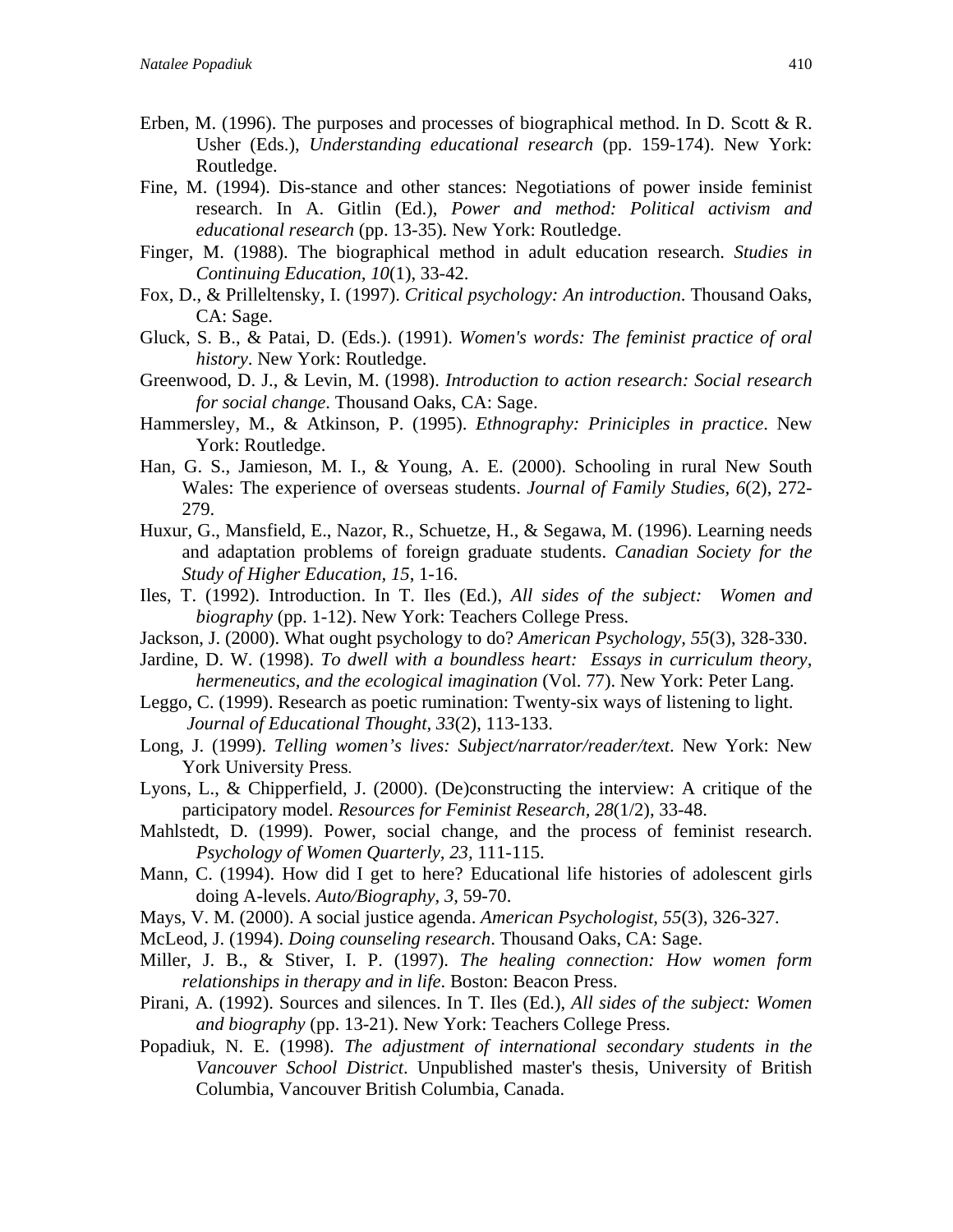- Erben, M. (1996). The purposes and processes of biographical method. In D. Scott & R. Usher (Eds.), *Understanding educational research* (pp. 159-174). New York: Routledge.
- Fine, M. (1994). Dis-stance and other stances: Negotiations of power inside feminist research. In A. Gitlin (Ed.), *Power and method: Political activism and educational research* (pp. 13-35)*.* New York: Routledge.
- Finger, M. (1988). The biographical method in adult education research. *Studies in Continuing Education, 10*(1), 33-42.
- Fox, D., & Prilleltensky, I. (1997). *Critical psychology: An introduction*. Thousand Oaks, CA: Sage.
- Gluck, S. B., & Patai, D. (Eds.). (1991). *Women's words: The feminist practice of oral history*. New York: Routledge.
- Greenwood, D. J., & Levin, M. (1998). *Introduction to action research: Social research for social change*. Thousand Oaks, CA: Sage.
- Hammersley, M., & Atkinson, P. (1995). *Ethnography: Priniciples in practice*. New York: Routledge.
- Han, G. S., Jamieson, M. I., & Young, A. E. (2000). Schooling in rural New South Wales: The experience of overseas students. *Journal of Family Studies, 6*(2), 272- 279.
- Huxur, G., Mansfield, E., Nazor, R., Schuetze, H., & Segawa, M. (1996). Learning needs and adaptation problems of foreign graduate students. *Canadian Society for the Study of Higher Education, 15*, 1-16.
- Iles, T. (1992). Introduction. In T. Iles (Ed.), *All sides of the subject: Women and biography* (pp. 1-12). New York: Teachers College Press.
- Jackson, J. (2000). What ought psychology to do? *American Psychology, 55*(3), 328-330.
- Jardine, D. W. (1998). *To dwell with a boundless heart: Essays in curriculum theory, hermeneutics, and the ecological imagination* (Vol. 77). New York: Peter Lang.
- Leggo, C. (1999). Research as poetic rumination: Twenty-six ways of listening to light. *Journal of Educational Thought, 33*(2), 113-133.
- Long, J. (1999). *Telling women's lives: Subject/narrator/reader/text*. New York: New York University Press.
- Lyons, L., & Chipperfield, J. (2000). (De)constructing the interview: A critique of the participatory model. *Resources for Feminist Research, 28*(1/2), 33-48.
- Mahlstedt, D. (1999). Power, social change, and the process of feminist research. *Psychology of Women Quarterly, 23,* 111-115.
- Mann, C. (1994). How did I get to here? Educational life histories of adolescent girls doing A-levels. *Auto/Biography, 3,* 59-70.
- Mays, V. M. (2000). A social justice agenda. *American Psychologist, 55*(3), 326-327.
- McLeod, J. (1994). *Doing counseling research*. Thousand Oaks, CA: Sage.
- Miller, J. B., & Stiver, I. P. (1997). *The healing connection: How women form relationships in therapy and in life*. Boston: Beacon Press.
- Pirani, A. (1992). Sources and silences. In T. Iles (Ed.), *All sides of the subject: Women and biography* (pp. 13-21). New York: Teachers College Press.
- Popadiuk, N. E. (1998). *The adjustment of international secondary students in the Vancouver School District*. Unpublished master's thesis, University of British Columbia, Vancouver British Columbia, Canada.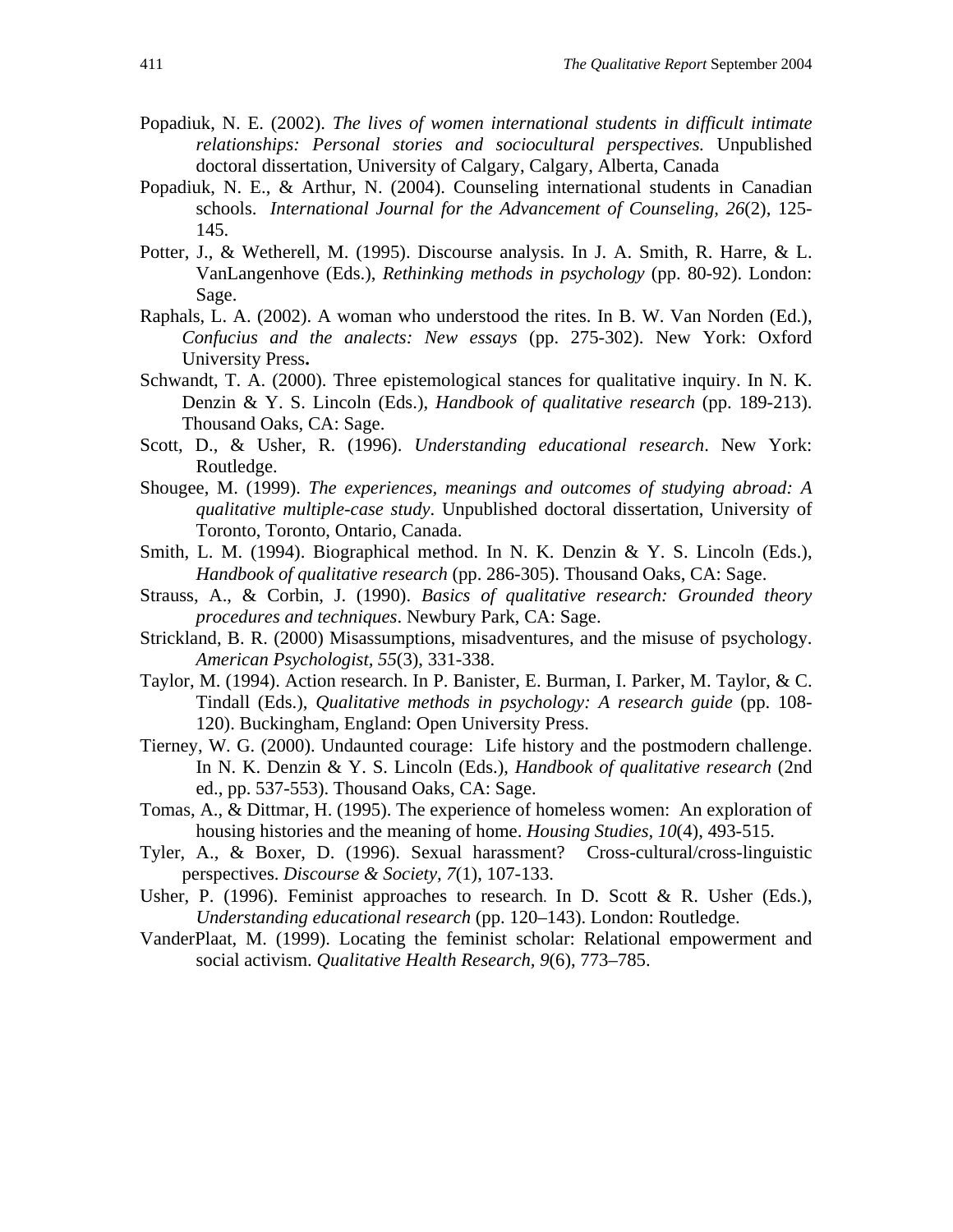- Popadiuk, N. E. (2002). *The lives of women international students in difficult intimate relationships: Personal stories and sociocultural perspectives.* Unpublished doctoral dissertation, University of Calgary, Calgary, Alberta, Canada
- Popadiuk, N. E., & Arthur, N. (2004). Counseling international students in Canadian schools. *International Journal for the Advancement of Counseling, 26*(2), 125- 145.
- Potter, J., & Wetherell, M. (1995). Discourse analysis. In J. A. Smith, R. Harre, & L. VanLangenhove (Eds.), *Rethinking methods in psychology* (pp. 80-92). London: Sage.
- Raphals, L. A. (2002). A woman who understood the rites. In B. W. Van Norden (Ed.), *Confucius and the analects: New essays* (pp. 275-302). New York: Oxford University Press**.**
- Schwandt, T. A. (2000). Three epistemological stances for qualitative inquiry. In N. K. Denzin & Y. S. Lincoln (Eds.), *Handbook of qualitative research* (pp. 189-213). Thousand Oaks, CA: Sage.
- Scott, D., & Usher, R. (1996). *Understanding educational research*. New York: Routledge.
- Shougee, M. (1999). *The experiences, meanings and outcomes of studying abroad: A qualitative multiple-case study*. Unpublished doctoral dissertation, University of Toronto, Toronto, Ontario, Canada.
- Smith, L. M. (1994). Biographical method. In N. K. Denzin & Y. S. Lincoln (Eds.), *Handbook of qualitative research* (pp. 286-305). Thousand Oaks, CA: Sage.
- Strauss, A., & Corbin, J. (1990). *Basics of qualitative research: Grounded theory procedures and techniques*. Newbury Park, CA: Sage.
- Strickland, B. R. (2000) Misassumptions, misadventures, and the misuse of psychology. *American Psychologist, 55*(3), 331-338.
- Taylor, M. (1994). Action research. In P. Banister, E. Burman, I. Parker, M. Taylor, & C. Tindall (Eds.), *Qualitative methods in psychology: A research guide* (pp. 108- 120). Buckingham, England: Open University Press.
- Tierney, W. G. (2000). Undaunted courage: Life history and the postmodern challenge. In N. K. Denzin & Y. S. Lincoln (Eds.), *Handbook of qualitative research* (2nd ed., pp. 537-553). Thousand Oaks, CA: Sage.
- Tomas, A., & Dittmar, H. (1995). The experience of homeless women: An exploration of housing histories and the meaning of home. *Housing Studies, 10*(4), 493-515.
- Tyler, A., & Boxer, D. (1996). Sexual harassment? Cross-cultural/cross-linguistic perspectives. *Discourse & Society, 7*(1), 107-133.
- Usher, P. (1996). Feminist approaches to research. In D. Scott & R. Usher (Eds.), *Understanding educational research* (pp. 120–143). London: Routledge.
- VanderPlaat, M. (1999). Locating the feminist scholar: Relational empowerment and social activism. *Qualitative Health Research, 9*(6), 773–785.